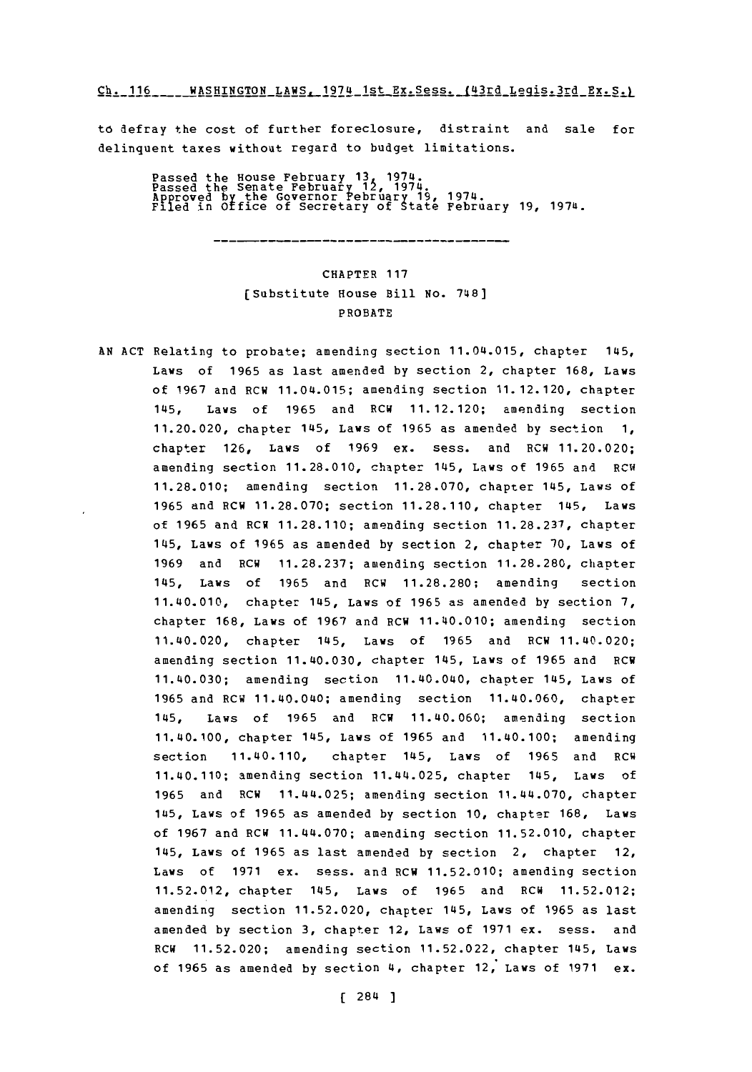Ch. 116 \_\_\_\_ WASHINGTON\_LAWS. 1974 1st Ex. Sess. (43rd Legis. 3rd Ex. S.)

to defray the cost of further foreclosure, distraint and sale for delinquent taxes without regard to budget limitations.

Passed the House February 13, 1974.<br>Passed the Senate February 12, 1974.<br>Approved by the Governor February 19, 1974.<br>Filed in Office of Secretary of State February 19, 1974.

CHAPTER **117** (Substitute House Bill **No. 748]** PROBATE

-----------

**AN ACT** Relating to probate; amending section 11.04.015, chapter 145, Laws of **1965** as last amended **by** section 2, chapter **168,** Laws of **1967** and RCW 11.04.015; amending section 11.12.120, chapter 145, Laws of **1965** and RCW 11.12.120; amending section 11.20.020, chapter 145, Laws of **1965** as amen'ded **by** section **1,** chapter **126,** Laws of **1969** ex. sess. and RCW 11.20.020; amending section **11.28.010,** chapter 145, Laws of **1965** and RCN **11.28.010;** amending section **11.28.070,** chapter 145, Laws of **1965** and RCW **11.28.070;** section **11.28.110,** chapter 145, Laws of **1965** and RCW **11.28.110;** amending section **11.28.237,** chapter 145, Laws of **1965** as amended **by** section 2, chapter **70,** Laws of **1969** and RCW **11.28.237;** amending section **11.28.280,** chapter 145, Laws of **1965** and BCW **11.28.280;** amending section 11.40.010, chapter 145, laws of **1965** as amended **by** section **7,** chapter **168,** Laws of **1967** and RCW 11.40.010; amending section 11.40.020, chapter 145, Laws of **1965** and BCW 11.40.020; amending section 11.40.030, chapter 145, Laws of **1965** and RCV 11.40.030; amending section 11.40.040, chapter 145, Laws of **1965** and RCW 11.40.040; amending section 11.40.060, chapter 145, Laws of **1965** and RCW 11.40.060; amending section 11.40.100, chapter 145, Laws of **1965** and 11.40.100; amending section 11.40.110, chapter 145, Laws of **1965** and RCW 11.40.110; amending section 11.44.025, chapter 145, Laws of **1965** and RCW 11.44.025; amending section 11.44.070, chapter 145, Laws of **1965** as amended **by** section **10,** chapter **168,** Laws of **1967** and RCW 11.44.070; amending section **11.52.010,** chapter 145, Laws of **1965** as last amended **by** section 2, chapter 12, Laws of **1971** ex. sess. and RCH **11.52.010;** amending section **11.52.012,** chapter 145, Laws of **1965** and RCW **11.52.012;** amending section 11.52.020, chapter 145, Laws of 1965 as last amended **by** section **3,** chapter 12, Laws of **1971** ex. sess. and RCW **11.52.020;** amending section **11.52.022,** chapter 145, Laws of **1965** as amended **by** section 4, chapter 12, Laws of **1971** ex.

**[** 284 **]**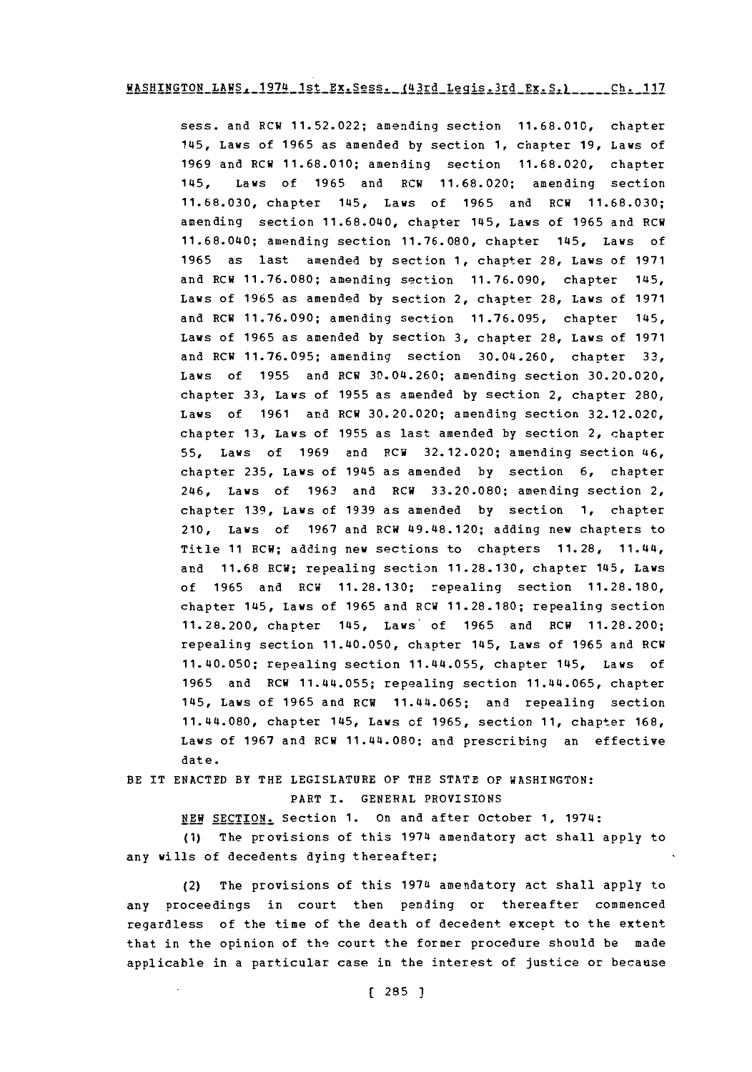sess. and RCW **11.52.022;** amending section **11.68.010,** chapter 145, Laws of **1965** as amended **by** section **1,** chapter **19,** Laws of **1969** and **RCW 11.68.010;** amending section **11.68.020,** chapter 145, Laws of **1965** and RCW **11.68.020;** amending section **11.68.030,** chapter 145, Laws of **1965** and RCH **11.68.030;** amending section 11.68.040, chapter 145, Laws of **1965** and RCW 11.68.040; amending section **11.76.080,** chapter 145, Laws of **1965** as last amended **by** section **1,** chapter **28,** Laws of **1971** and RCU **11.76.080;** amending section **11.76.090,** chapter 145, Laws of **1965** as amended **by** section 2, chapter **28,** Laws of **1971** and RCR **11.76.090;** amending section **11.76.095,** chapter 145, Laws of **1965** as amended **by** section **3,** chapter **28,** Laws of **1971** and RCW **11.76.095;** amending section 30.04.260, chapter **33,** Laws of **1955** and ECW 30.04.260; amending section **30.20.020,** chapter **33,** Laws of **1955** as amended **by** section 2, chapter 280, Laws of **1961** and RCW **30.20.020;** amending section **32.12.020,** chapter **13,** Laws of **1955** as last amended **by** section 2, chapter **55,** Laws of **1969** and RCU **32.12.020;** amending section 46, chapter **235,** Laws of 1945 as amended **by** section **6,** chapter 246, Laws of **1963** and ECU **33.20.080;** amending section 2, chapter **139,** Laws of **1939** as amended **by** section **1,** chapter 210, Laws of **1967** and RCU 49.48.120; adding new chapters to Title **11 RCW;** adding new sections to chapters **11.28,** 11.44, and **11.68** RCW; repealing section **11.28.130,** chapter 145, Laws of **1965** and RCW **11.28.130;** repealing section **11.28.180,** chapter 145, Laws of **1965** and RCW **11.28.180;** repealing section **11.28.200,** chapter 145, Laws of **1965** and RCW **11.28.200;** repealing section 11.40.050, chapter 145, Laws of **1965** and ECU 11.40.050; repealing section 11.44.055, chapter 145, Laws of **1965** and RCW 11.44.055; repealing section 11.44.065, chapter 145, Laws of **1965** and RCU 11.44.065; and repealing section 11.44.080, chapter 145, Laws **of 1965,** section **11,** chapter **168,** Laws of 1967 and RCW 11.44.080; and prescribing an effective date.

BE IT **ENACTED** BY THE LEGISLATURE OF THE **STATE** OF **WASHINGTON:**

PART I. **GENERAL** PROVISIONS

**NEW** SECTION. Section **1.** On and after October **1,** 1974:

**(1)** The provisions of this 1974 amendatory act shall apply to any wills of decedents dying thereafter;

(2) The provisions of this **197U** amendatory act shall apply to any proceedings in court then pending or thereafter commenced regardless of the time of the death of decedent except to the extent that in the opinion of the court the former procedure should be made applicable in a particular case in the interest of justice or because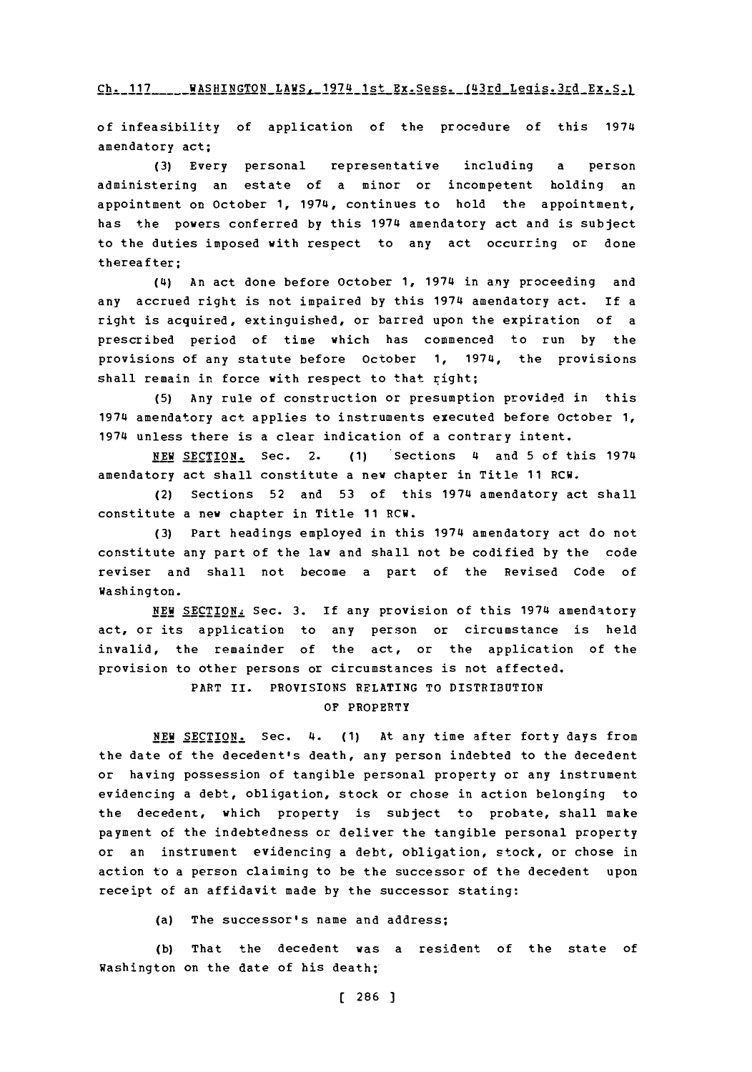# <u>Ch. 117 | Jashington Laws, 1974 1st Ex.Sess. (43rd Legis.3rd Ex.S.)</u>

of infeasibility of application of the procedure of this 1974 amendatory act;

**(3)** Every personal representative including a person administering an estate of a minor or incompetent holding an appointment on October **1,** 19714, continues to hold the appointment, has the powers conferred **by** this 19714 amendatory act and is subject to the duties imposed with respect to any act occurring or done thereafter;

**(14)** An act done before October **1,** 19714 in any proceeding and any accrued right is not impaired **by** this 19714 amendatory act. **If** a right is acquired, extinguished, or barred upon the expiration of a prescribed period of time which has commenced to run **by** the provisions of any statute before October **1,** 19714, the provisions shall remain in force with respect to that right;

**(5)** Any rule of construction or presumption provided in this 19714 amendatory act applies to instruments executed before October **1,** 19714 unless there is a clear indication of a contrary intent.

**NEW** SECTION. Sec. 2. **(1)** Sections 14 and **5** of this 1974 amendatory act shall constitute a new chapter in Title **11** RCW.

(2) Sections **52** and **53** of this 19714 amendatory act shall constitute a new chapter in Title **<sup>11</sup>**RCW.

**(3)** Part headings employed in this 19714 amendatory act do not constitute any part of the law and shall not be codified **by** the code reviser and shall not become a part of the Revised Code of Washington.

**NEW** SECTIONj Sec. **3.** If any provision of this 1974 amendatory act, or its application to any person or circumstance is held invalid, the remainder of the act, or the application of the provision to other persons or circumstances is not affected.

# PART II. PROVISIONS RELATING TO DISTRIBUTION

**OF** PROPERTY

**NEW** SECT ION. Sec. 4. **(1)** At any time after forty days from the date of the decedent's death, any person indebted to the decedent or having possession of tangible personal property or any instrument evidencing a debt, obligation, stock or chose in action belonging to the decedent, which property is subject to probate, shall make payment of the indebtedness or deliver the tangible personal property or an instrument evidencing a debt, obligation, stock, or chose in action to a person claiming to be the successor of the decedent upon receipt of an affidavit made **by** the successor stating:

(a) The successor's name and address;

**(b)** That the decedent was a resident of the state of Washington on the date of his death;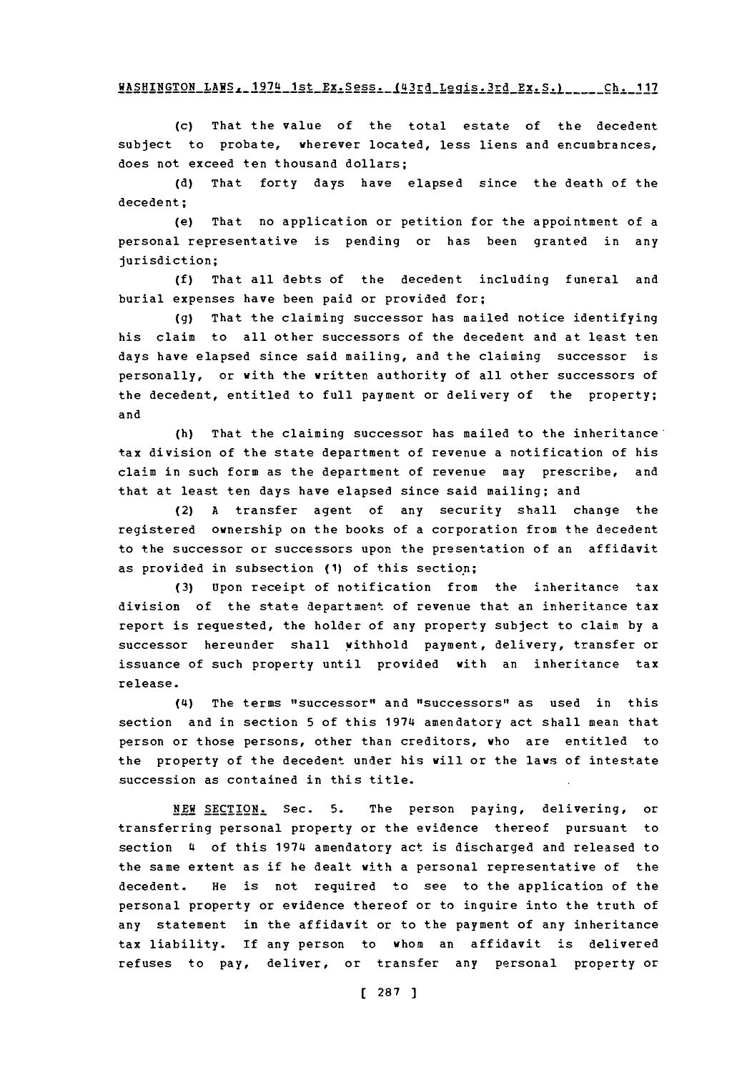# **L-1 . <sup>117</sup> - - - - - - - - - -L-- - - -- x** *- \*L* **- - - <sup>a</sup>--**

**(C)** That the value of the total estate of the decedent subject to probate, wherever located, less liens and encumbrances, does not exceed ten thousand dollars;

**(d)** That forty days have elapsed since the death of the decedent;

(e) That no application or petition for the appointment of a personal representative is pending or has been granted in any jurisdiction;

**(f)** That all debts of the decedent including funeral and burial expenses have been paid or provided for;

(g) That the claiming successor has mailed notice identifying his claim to all other successors of the decedent and at least ten days have elapsed since said mailing, and the claiming successor is personally, or with the written authority of all other successors of the decedent, entitled to full payment or delivery of the property; and

(h) That the claiming successor has mailed to the inheritance tax division of the state department of revenue a notification of his claim in such form as the department of revenue may prescribe, and that at least ten days have elapsed since said mailing; and

(2) **A** transfer agent of any security shall change the registered ownership on the books of a corporation from the decedent to the successor or successors upon the presentation of an affidavit as provided in subsection **(1)** of this section;

**(3)** Upon receipt of notification from the inheritance tax division of the state department of revenue that an inheritance tax report is requested, the holder of any property subject to claim **by** a successor hereunder shall withhold payment, delivery, transfer or issuance of such property until provided with an inheritance tax release.

(4) The terms "successor" and "successors" as used in this section and in section **5** of this 1974 amendatory act shall mean that person or those persons, other than creditors, who are entitled to the property of the decedent under his will or the laws of intestate succession as contained in this title.

**NEW** SECTION. Sec. **5.** The person paying, delivering, or transferring personal property or the evidence thereof pursuant to section 4 of this 1974 amendatory act is discharged and released to the same extent as if he dealt with a personal representative of the decedent. He is not required to see to the application of the personal property or evidence thereof or to inquire into the truth of any statement in the affidavit or to the payment of any inheritance tax liability. **If** any person to whom an affidavit is delivered refuses to pay, deliver, or transfer any personal property or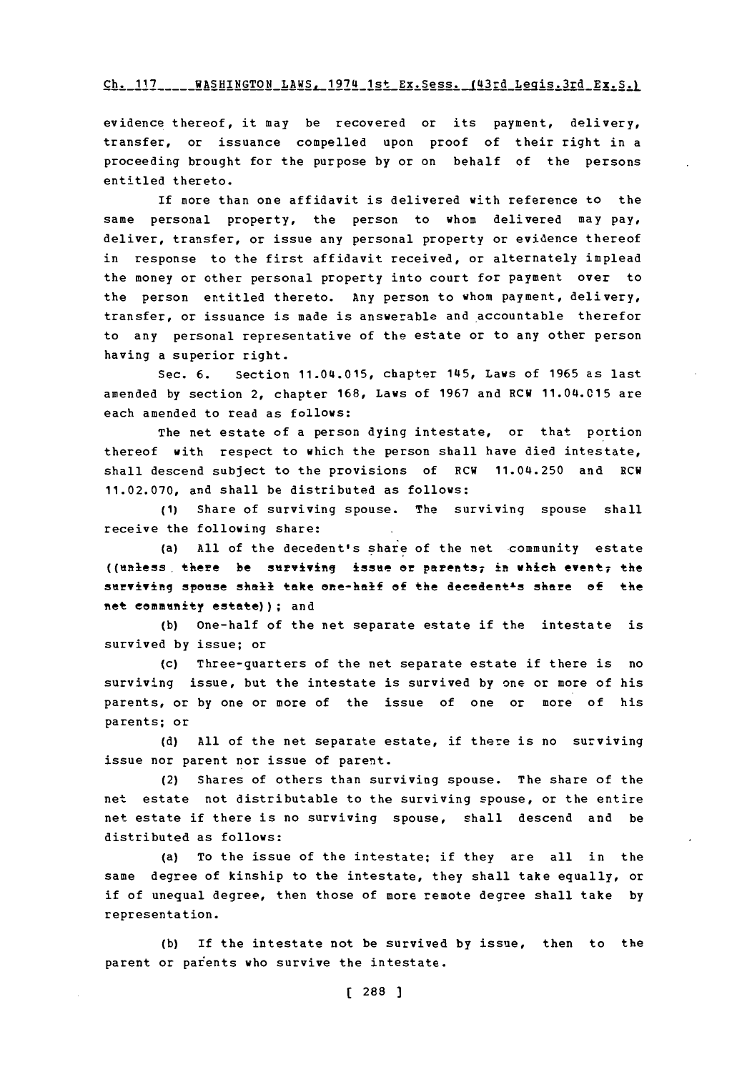### Ch. 117<sub>----</sub>WASHINGTON LAWS, 1974 1st Ex. Sess. (43rd Legis.3rd Ex. S.)

evidence thereof, it may be recovered or its payment, delivery, transfer, or issuance compelled upon proof of their right in a proceeding brought for the purpose **by** or on behalf of the persons entitled thereto.

If more than one affidavit is delivered with reference to the same personal property, the person to whom delivered may pay, deliver, transfer, or issue any personal property or evidence thereof in response to the first affidavit received, or alternately implead the money or other personal property into court for payment over to the person entitled thereto. Any person to whom payment, delivery, transfer, or issuance is made is answerable and accountable therefor to any personal representative of the estate or to any other person having a superior right.

Sec. **6.** Section 11.04.015, chapter 145, Laws of **1965** as last amended **by** section 2, chapter **168,** Laws of **1967** and RCW 11.04.015 are each amended to read as follows:

The net estate of a person dying intestate, or that portion thereof with respect to which the person shall have died intestate, shall descend subject to the provisions of RCW 11.04.250 and RCW **11.02.070,** and shall be distributed as follows:

**(1)** Share of surviving spouse. The surviving spouse shall receive the following share:

(a) **All** of the decedent's share of the net community estate ((unless there be surviving issue or parents; in which event; the serviving spense shall take one-half **of** the **deeedentL5** share *of* the net community estate)); and

**(b)** One-half of the net separate estate if the intestate is survived **by** issue; or

(c) Three-guarters of the net separate estate if there is no surviving issue, but the intestate is survived **by** one or more of his parents, or **by** one or more of the issue of one or more of his parents; or

**(d) All** of the net separate estate, if there is no surviving issue nor parent nor issue of parent.

(2) Shares of others than surviving spouse. The share of the net estate not distributable to the surviving spouse, or the entire net estate if there is no surviving spouse, shall descend and be distributed as follows:

(a) To the issue of the intestate; if they are all in the same degree of kinship to the intestate, they shall take equally, or if of unequal degree, then those of more remote degree shall take **by** representation.

**(b)** If the intestate not be survived **by** issue, then to the parent or parents who survive the intestate.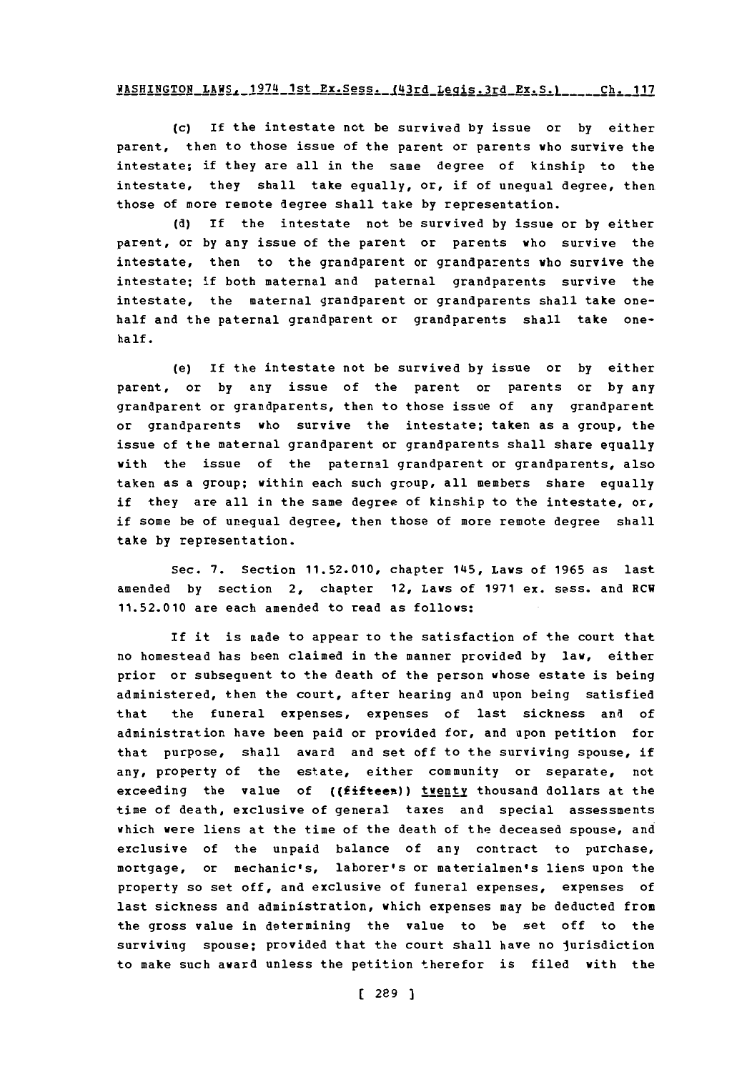### WASHINGTON LAWS, 1974 1st Ex. Sess. (43rd Legis . 3rd Ex. S.) Ch. 117

(c) **If** the intestate not be survived **by** issue or **by** either parent, then to those issue of the parent or parents who survive the intestate; if they are all in the same degree of kinship to the intestate, they shall take equally, or, if of unequal degree, then those of more remote degree shall take **by** representation.

**(d)** If the intestate not be survived **by** issue or **by** either parent, or **by** any issue of the parent or parents who survive the intestate, then to the grandparent or grandparents who survive the intestate; if both maternal and paternal grandparents survive the intestate, the maternal grandparent or grandparents shall take onehalf and the paternal grandparent or grandparents shall take onehalf.

(e) If the intestate not be survived **by** issue or **by** either parent, or **by** any issue of the parent or parents or **by** any grandparent or grandparents, then to those issue of any grandparent or grandparents who survive the intestate; taken as a group, the issue of the maternal grandparent or grandparents shall share equally with the issue of the paternal grandparent or grandparents, also taken as a group; within each such group, all members share equally if they are all in the same degree of kinship to the intestate, or, if some be of unequal degree, then those of more remote degree shall take **by** representation.

Sec. **7.** Section **11.52.010,** chapter 145, Laws of **1965** as last amended **by** section 2, chapter 12, Laws of **1971** ex. sess. and RCW **11.52.010** are each amended to read as follows:

If it is made to appear to the satisfaction of the court that no homestead has been claimed in the manner provided **by** law, either prior or subsequent to the death of the person whose estate is being administered, then the court, after hearing and upon being satisfied that the funeral expenses, expenses of last sickness and of administration have been paid or provided for, and upon petition for that purpose, shall award and set off to the surviving spouse, if any, property of the estate, either community or separate, not exceeding the value of ( $(fifteen)$ ) twenty thousand dollars at the time of death, exclusive of general taxes and special assessments which were liens at the time of the death of the deceased spouse, and exclusive of the unpaid balance of any contract to purchase, mortgage, or mechanic's, laborer's or materialmen's liens upon the property so set off, and exclusive of funeral expenses, expenses of last sickness and administration, which expenses may be deducted from the gross value in determining the value to be set off to the surviving spouse; provided that the court shall have no jurisdiction to make such award unless the petition therefor is filed with the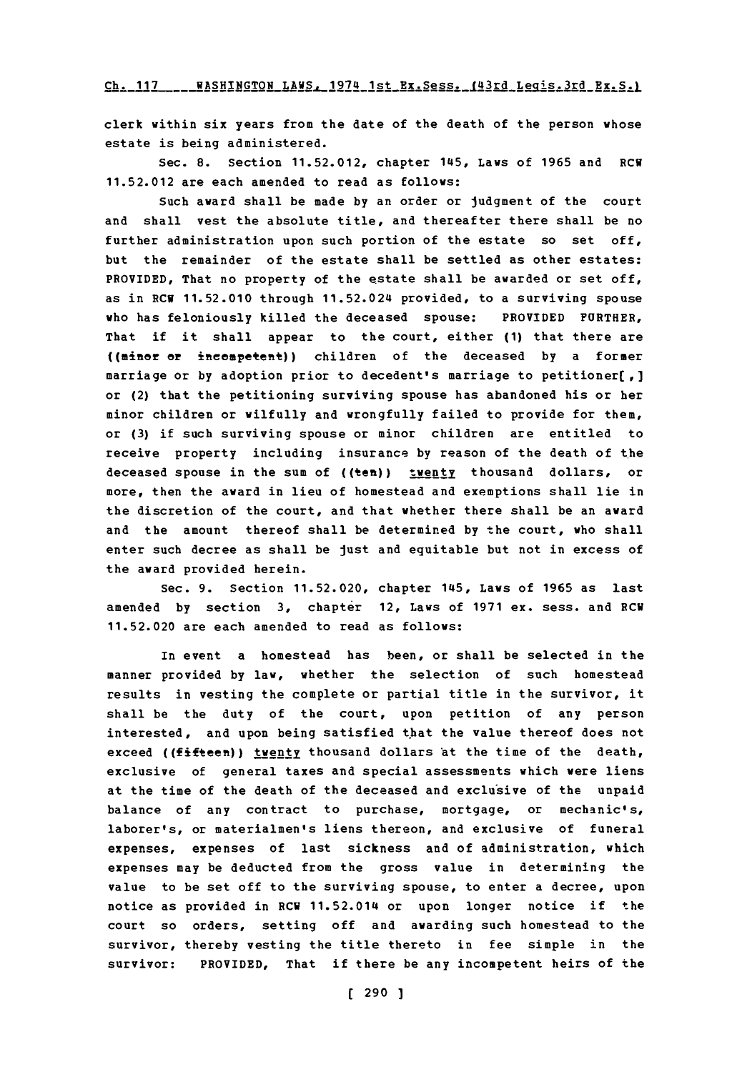#### Ch. 117 **MASHINGTON LAWS, 1974 1st Ex.Sess. 143rd Legis.3rd Ex.S.1**

clerk within six years from the date of the death of the person whose estate is being administered.

Sec. **8.** Section **11.52.012,** chapter 145, Laws of **1965** and **RCW 11.52.012** are each amended to read as follows:

Such award shall be made **by** an order or judgment of the court and shall vest the absolute title, and thereafter there shall be no further administration upon such portion of the estate so set **off,** but the remainder of the estate shall be settled as other estates: PROVIDED, That no property of the estate shall be awarded or set off, as in RCW **11.52.010** through 11.52.024 provided, to a surviving spouse who has feloniously killed the deceased spouse: PROVIDED FURTHER, That if it shall appear to the court, either **(1)** that there are ((minor **or** incompetent)) children of the deceased **by** a former marriage or **by** adoption prior to decedent's marriage to petitioner[,] or (2) that the petitioning surviving spouse has abandoned his or her minor children or wilfully and wrongfully failed to provide for them, or **(3)** if such surviving spouse or minor children are entitled to receive property including insurance **by** reason of the death of the deceased spouse in the sum of ((ten)) twenty thousand dollars, or more, then the award in lieu of homestead and exemptions shall lie in the discretion of the court, and that whether there shall be an award and the amount thereof shall be determined **by** the court, who shall enter such decree as shall be just and equitable but not in excess of the award provided herein.

Sec. **9.** Section **11.52.020,** chapter 145, Laws of **1965** as last amended **by** section **3,** chapter 12, Laws of **1971** ex. sess. and RCW **11.52.020** are each amended to read as follows:

In event a homestead has been, or shall be selected in the manner provided **by** law, whether the selection of such homestead results in vesting the complete or partial title in the survivor, it shall be the duty of the court, upon petition of any person interested, and upon being satisfied that the value thereof does not exceed ((fifteen)) twenty thousand dollars at the time of the death, exclusive of general taxes and special assessments which were liens at the time of the death of the deceased and exclusive of the unpaid balance of any contract to purchase, mortgage, or mechanic's, laborer's, or materialmen's liens thereon, and exclusive of funeral expenses, expenses of last sickness and of administration, which expenses may be deducted from the gross value in determining the value to be set off to the surviving spouse, to enter a decree, upon notice as provided in RCW 11.52.014 or upon longer notice if the court so orders, setting off and awarding such homestead to the survivor, thereby vesting the title thereto in fee simple in the survivor: PROVIDED, That if there be any incompetent heirs of the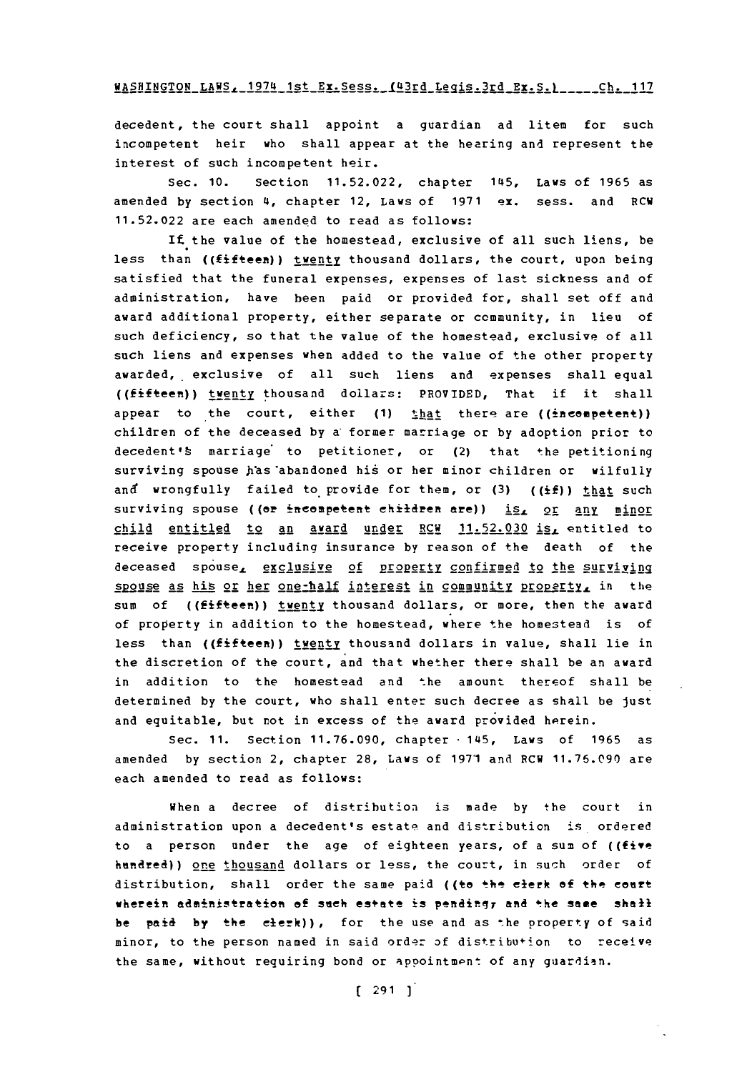WASHINGTON LAWS. 1974 1st Ex.Sess. (43rd Leqis.3rd Ex.S.) Ch 17 **Ch. 117**

decedent, the court shall appoint a guardian ad litem for such incompetent heir who shall appear at the hearing and represent the interest of such incompetent heir.

Sec. **10.** Section **11.52.022,** chapter 145, Laws of **1965** as amended **by** section 4, chapter 12, Laws of **1971** ex. sess. and RCW **11.52.022** are each amended to read as follows:

If the value of the homestead, exclusive of all such liens, be less than ((fifteen)) twenty thousand dollars, the court, upon being satisfied that the funeral expenses, expenses of last sickness and of administration, have been paid or provided for, shall set off and award additional property, either separate or community, in lieu of such deficiency, so that the value of the homestead, exclusive of all such liens and expenses when added to the value of the other property awarded, exclusive of all such liens and expenses shall equal ((fifteen)) tyenty thousand dollars: PROVIDED, That if it shall appear to the court, either (1) that there are ((incompetent)) children of the deceased **by** a' former marriage or **by** adoption prior to decedent'b marriage to petitioner, or (2) that 'he petitioning surviving spouse has abandoned his or her minor children or wilfully and wrongfully failed to provide for them, or (3) ((if)) that such surviving spouse ((or incompetent children are)) is, or any minor child entitled to an award under RCW **.11.52.030** isj,. entitled to receive property including insurance **by** reason of the death of the deceased spouse, exclusive of property confirmed to the surviving spouse as his or her one-half interest in community property, in the sum of ((fifteen)) twenty thousand dollars, or more, then the award of property in addition to the homestead, where the homestead is of less than ((fifteen)) twenty thousand dollars in value, shall lie in the discretion of the court, and that whether there shall be an award in addition to the homestead and the amount thereof shall be determined **by** the court, who shall enter such decree as shall be just and equitable, but not in excess of the award provided herein.

Sec. **11.** Section **11.76.090,** chapter .145, Laws of **1965** as amended **by** section 2, chapter **28,** Laws of **1971** and RCW **11.76.090** are each amended to read as follows:

When a decree of distribution is made **by** the court in administration upon a decedent's estate and distribution is ordered to a person under the age of eighteen years, of a sum of ((five hundred)) one thousand dollars or less, the court, in such order of distribution, shall order the same paid ((to the clerk of the court wherein administration of such estate is pending, and the same shall be paid **by** the clerk)), for the use and as -he property of said minor, to the person named in said order of distribution to receive the same, without requiring bond or appointment of any guardian.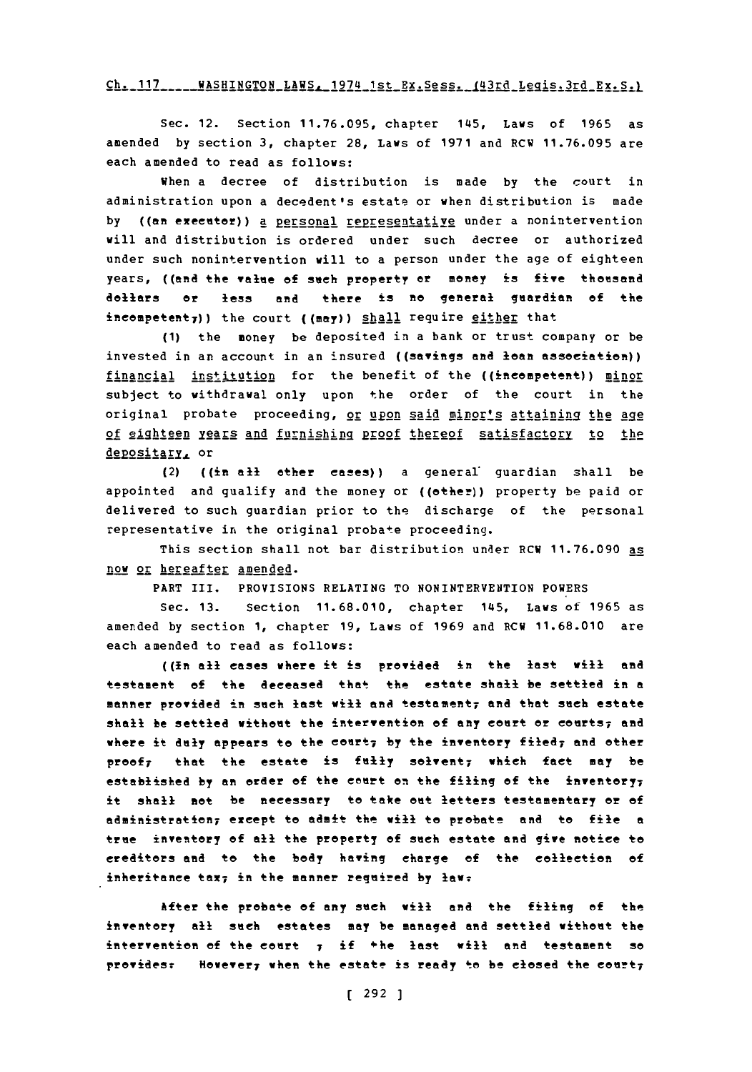# **Ch. 117** -WASHINGTON LAWS. **1.974** 1st Ex.Sess.\_ 143rdLegis.3rd Ex.S.L

Sec. 12. Section **11.76.095,** chapter 145, Laws of **1965** as amended **by** section **3,** chapter 28, Laws of **1971** and RCW **11.76.095** are each amended to read as follows:

When a decree of distribution is made **by** the court in administration upon a decedent's *estate* or when distribution is made by ((an executor)) a personal representative under a nonintervention will and distribution is ordered under such decree or authorized under such nonintervention will to a person under the age of eighteen years, **((and** the value **of** such property or money is five thousand dollars or -less **and** there is ne general guardian **of** the incompetenty)) the court ((may)) shall require either that

**(1)** the money be deposited in a bank or trust company or be invested in an account in an insured ((savifngs **and** lean association)) financial institution for the benefit of the ((incompetent)) minor subject to withdrawal only upon the order of the court in the original probate proceeding, or upon said minor's attaining the age of eighteen years and furnishing proof thereof satisfactory to the depositary, or

(2) ((in **all:** other eases)) a generaf guardian shall be appointed and qualify and the money or ((other)) property be paid or delivered to such guardian prior to the discharge of the personal representative in the original probate proceeding.

This section shall not bar distribution under RCW **11.76.090** as now or hereafter amended.

PART III. PROVISIONS **RELATING** TO NONINTERVENTION **POWERS**

Sec. **13.** Section **11.68.010,** chapter 145, Laws of **1965** as amended **by** section **1,** chapter **19,** Laws of **1969** and RCW **11.68.010** are each amended to read as follows:

**((Int** all eases where it is provided in the last will **and** testament **of** the deceased that the estate shall be settled in **a** manner provided in such last will **and** testament7 and that such estate shall be settled without the intervention of any court or courts; and where it duly appears to the court; by the inventory filed; and other proof; that the estate is fully solvent; which fact may be established by an order of the court on the filing of the inventory<sub>7</sub> **it** shall **not** be necessary to take out letters testamentary or **of** administration; except to admit the will to probate and to file a true inventory of **all** the property **of** such estate and give notice to creditors **and** to the body having charge of the collection of inheritance tax<sub>7</sub> in the manner required by law:

After the probate **of** any such will **and** the filing **of** the inventory **all** such @states may be managed and settled without the intervention **of** the court **7** if \*he last will **ant&** testament so provides: **However**, when the estate is ready to be closed the court,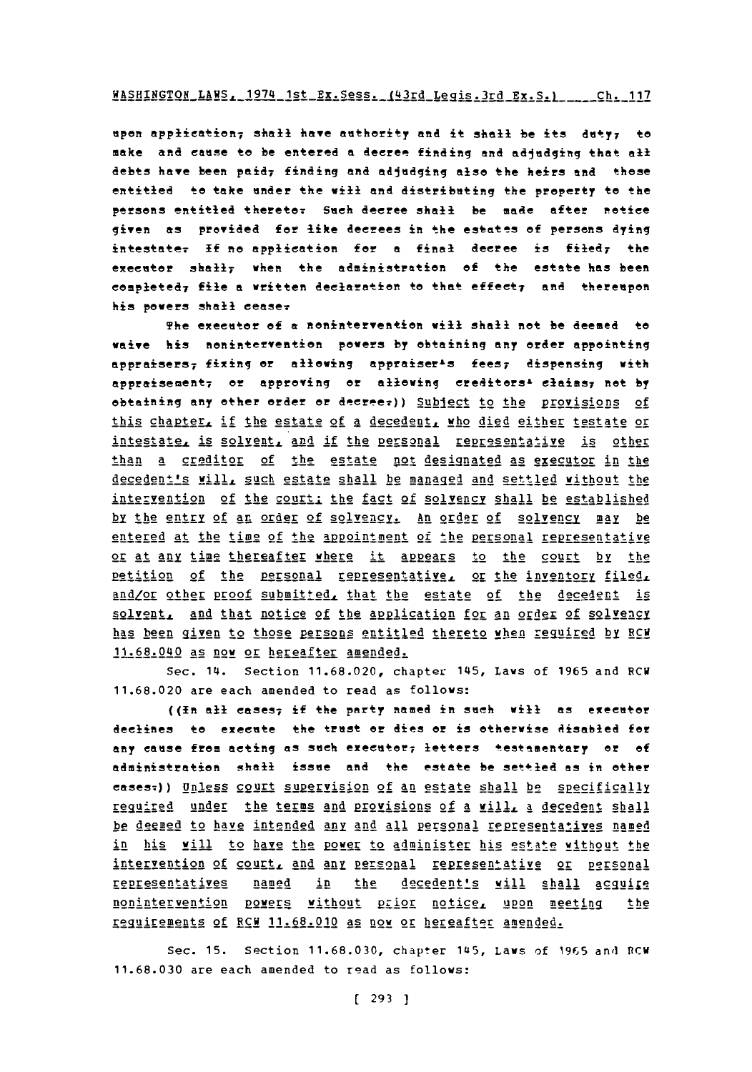### **WASHINGTON LAWS, 1974** 1st Ex.Sess. 143rdLegis.3rd **Ex.** 54 **Ch. 117**

apen applieation7 shall have authority and it shell be its **dutyy** to make and cause to be entered a decree finding and adjudging that all debts have been **paid7** finding and adjudging aise the heirs and those entitled to take under the will and distributing the property to the persons entitled theretez Sueh deeree shall be made after notice given as provided for like decrees in the estates **of** persons dying **intestater If no** application fer **a** final decree is filedy the executor shally when the administration of the estate has been eemplete&7 file **a** written decelaration to that effeety and thereupon his powers shall ceaser

The exeetor of **a** nonintervention will shall not be deemed to waive his nonintervention powers **by** obtaining any erder appointing appraisers, fixing or allowing appraiser<sup>1</sup>s fees; dispensing with appraisement<sub>7</sub> or approving or allowing crediters<sup>1</sup> elaims<sub>7</sub> not by obtaining **any** other order or deeree?)) Sub1jet to the provisions **of** this chapter, if the estate of a decedent, who died either testate or intestate, is solvent, and if the personal representative is other than a creditor of the estate not designated as executor in the decedent's will, such estate shall be managed and settled without the intervention of the court; the fact of solvency shall be established by the 9entl **of an** order **of** solvency. **An** order of solveny **%ay** be entered at the time of the appointment of the personal representative or at **gay** time thereafter where it appears to the court **by** the petition of the personal representative, or the inventory filed, and/or other proof submitted, that the estate of the decedent is solvent, and that notice of the application for an order of solvency has been given to those persons entitled thereto when required by **RCM** 11.68.040 as now or hereafter amended.

Sec. 14. Section **11.68.020,** chapter 145, Laws of **1965** and **RCN 11.68.020** are each amended to read as follows:

((In **all** eases; if the party named in such will as executor declines to execute the trust or dies or is etherwise disabled for any cause from acting as such executor; letters testamentary or of administration shall issue and the estate be settled as in other cases<sub>7</sub>)) Unless court supervision of an estate shall be specifically reguired under the terms and provisions of a will, a decedent shall be deemed to have intended any and all personal representatives named in his will to have the Power to administer his estate without the intervention of court, **and** any personal represenative **or** personal representatives named in the decedent's will shall acquire nonintervention powers without prior notice, upon meeting the eguirements of RCW **11.68.010** as now or hereafter amended.

Sec. **15.** Section **11.68.030,** chapter 145, Laws of **1965** and CW **11.68.030** are each amended to read as follows: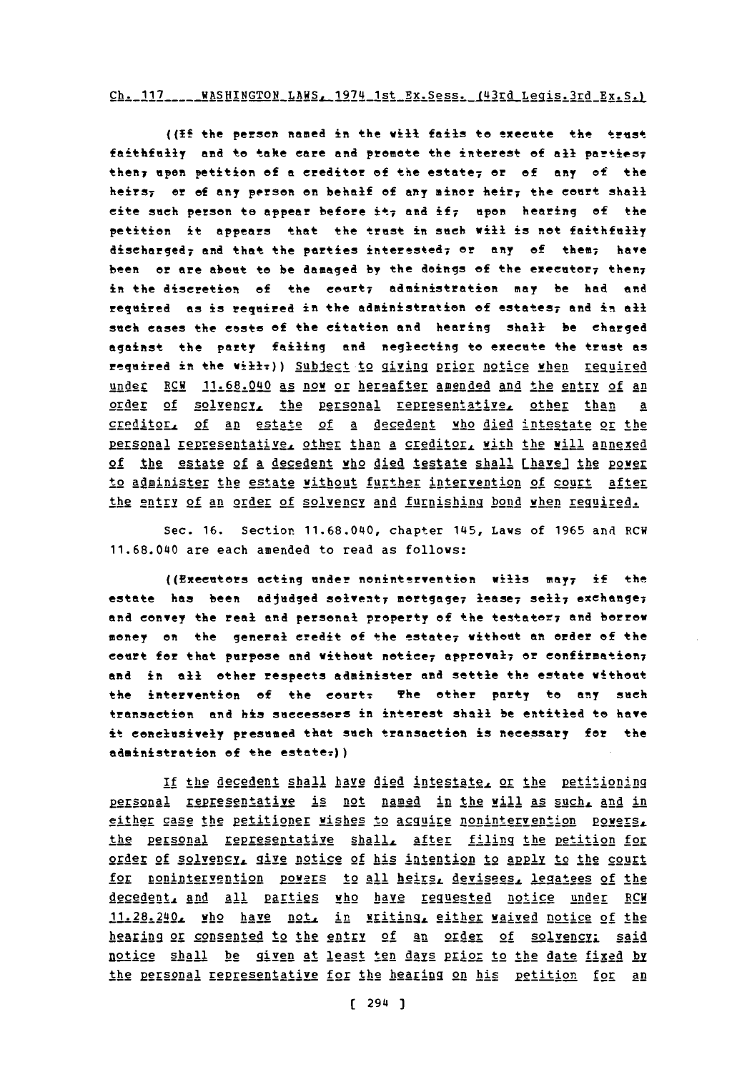### Ch. 117 \_\_\_\_\_ WASHINGTON LAWS, 1974 1st Ex. Sess. (43rd Legis.3rd Ex. S.)

((Ef the persen named in the vill fails to execute the trust faithfuilly **and** to take eare and promote the interest **of all** parties, theny upon petition of a creditor of the estate<sub>7</sub> or of any of the heirs7 or **of any** persen on behalf of any miner heir, the eourt shall eite seeh person to appear before it7 and ify **upon** hearing of the petition it appears that the trust in such will is not faithfully discharged, and that the parties interested, or any of them, have been or are about to be damaged **by** the doings of the exeeuter7 theny in the discretion of the court; administration may be had and required as is required in the administration of estates<sub>7</sub> and in all sueh eases the costs of the eitation and hearing shalk be charged against the party failing and neglecting to exceute the trust as required in the willi)) AubIgt 1o gling 2Rigr notice **when required** under RCW 11.68.040 as now or hereafter amended and the entry of an order of solvency, the personal representative, other than a creditor, of an estate of a decedent who died intestate or the personal representative, other than a creditor, with the will annexed of the estate of a decedent who died testate shall [have] the power to administer the estate without further intervention of court after the entry of an order of solvency and furnishing bond when reguired.

Sec. **16.** Section 11.68.040, chapter 145, Laws of **1965** and RCW 11.68.040 are each amended to read as follows:

((Executors acting under nonintervention wills may; if the estate has been adjudged solvent, mortgage, lease, sell, exchange, and convey the real and personal property of the testator<sub>7</sub> and borrow money on the general credit of the estate7 without an order **of** the court for that purpose and without notice; approval; or confirmation; and in **all** ether respects administer and settle the estate without the intervention of the ceurt: The other party to **any** such transaction and his successors in interest shall be entitled to have it eenelusively presumed that such transaction is necessary for the administration of the estate;))

If the decedent shall have died intestate, or the petitioning personal representative is not named in the will as such, and in either case the petitioner wishes to acquire nonintervention Povers, the personal representative shall, after filing the petition for **o14e of** solvencI1 give notice of his intention to applY to the court **fop** n2nintervention poyers to all heirs. devisees. legatees of the decedent, and all parties who have requested notice under RCM 11.28.240. who have not. in writing, either waived notice of the hearing or consented to the entry **of** an order of solvency: said gtice shall be given at least ten days prior to the date fixed **by** the personal representative for the hearing on his petition for an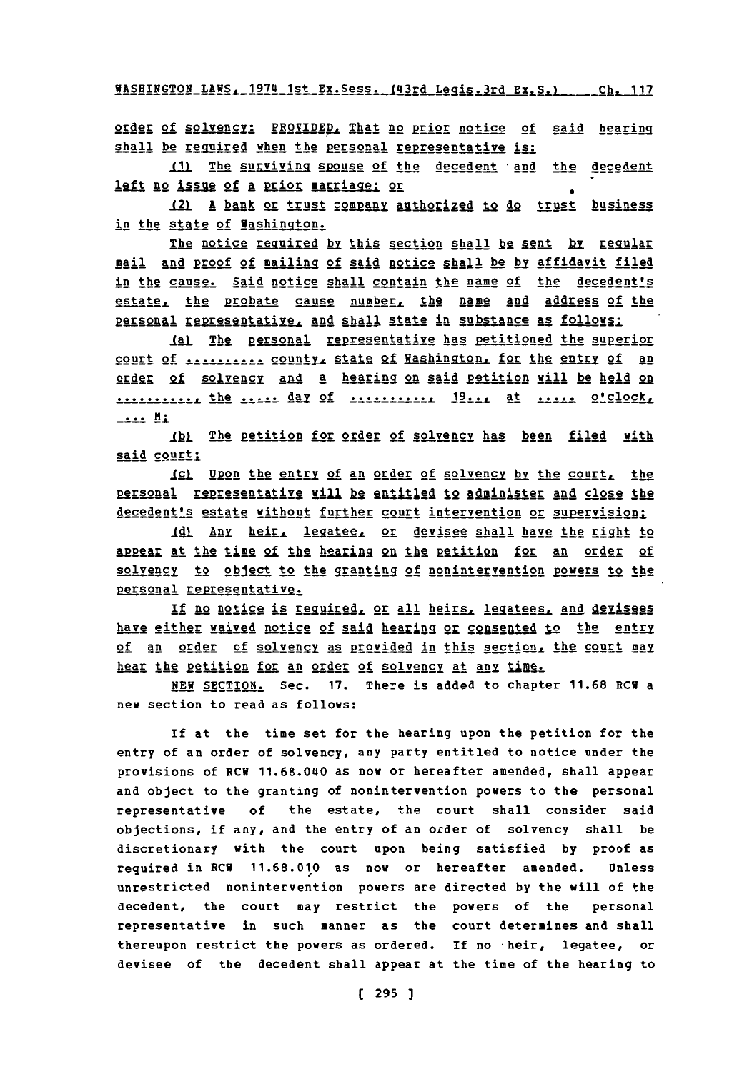**WASHINGTON LAWS, 1974 1st Ex. Sess. (43rd Legis.3rd Ex.S.)** Ch. 117

order of solvency: PROVIDED, That no prior notice of said hearing shall be required when the personal representative is:

**111** The surviving spouse of the decedent and the decedent left no issue of a **prior marriage:** or

\_(21 **A** hgk 2r trust **c2apggy** authorized to do trust business in the state of Washington.

The notice required by this section shall be sent by reqular mail And **proof of** mailing of said notice shall be **hy** affidavit filed in thg cause. Said notice shall contain the name of the decedent's estate, the probate cause number, the name and address of the personal representative, and shall state in substance as follows:

1a) The personal representative has petitioned the superior court of .......... county, statg **of** Washington for the entry **of** an order of solvency and a hearing on said petition will be held on the. **.....dgy** of . 1. at o'clock,  $-11$   $\mu$ 

(b) The petition for order of solvency has been filed with said court:

191. 22pn the entry **of** an order of solvency by the court, the personal representative will be entitled to administer and close the decedent's estate without further court intervention or supervision;

1dl Any heir, legatee, or devisee shall have the right to appear at the time of the hearing on the petition for an order of solvency to object to the granting of nonintervention powers to the personal representative.

If no notice is required, or all heirs, legatees, and devisees have either waived notice of said hearing or consented to the entry of an order of solvengy as provided in this section, the court **may** hear the petition for an order of solvency at any time.

**NEW SECTION.** Sec. **17.** There is added to chapter **11.68** RCW **a** new section to read as follows:

If at the time set for the hearing upon the petition for the entry of an order of solvency, any party entitled to notice under the provisions of RCW 11.68.040 as now or hereafter amended, shall appear and object to the granting of nonintervention powers to the personal representative **of** the estate, the court shall consider said objections, if any, and the entry of an order of solvency shall be discretionary with the court upon being satisfied **by** proof as required in RCW **11.68.010** as now or hereafter amended. Unless unrestricted nonintervention powers are directed **by** the will of the decedent, the court may restrict the powers of the personal representative in such manner as the court determines and shall thereupon restrict the powers as ordered. If no heir, legatee, or devisee of the decedent shall appear at the time of the hearing to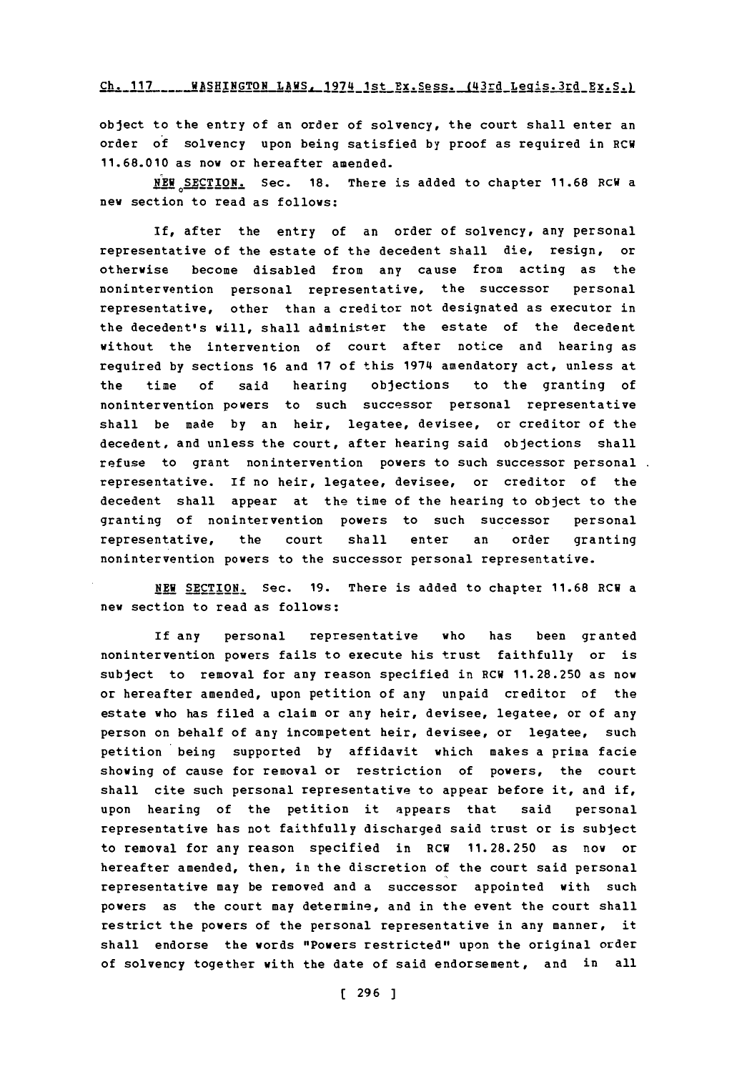#### Ch. 117 WASHINGTON LAWS, 1974 1st Ex. Sess. (43rd Legis.3rd Ex. S.)

object to the entry of an order of solvency, the court shall enter an order of solvency upon being satisfied **by** proof as required in RCW **11.68.010** as now or hereafter amended.

**NEW** 0SECTION. Sec. **18.** There is added to chapter **11.68** RCW a new section to read as follows:

If, after the entry of an order of solvency, any personal representative of the estate of the decedent shall die, resign, or otherwise become disabled from any cause from acting as the nonintervention personal representative, the successor personal representative, other than a creditor not designated as executor in the decedent's will, shall administer the estate of the decedent without the intervention of court after notice and hearing as required **by** sections **16** and **17** of this 1974 amendatory act, unless at the time **of** said hearing objections to the granting of nonintervention powers to such successor personal representative shall be made **by** an heir, legatee, devisee, or creditor of the decedent, and unless the court, after hearing said objections shall refuse to grant nonintervention powers to such successor personal representative. If no heir, legatee, devisee, or creditor of the decedent shall appear at the time of the hearing to object to the granting of nonintervention powers to such successor personal representative, the court shall enter an order granting nonintervention powers to the successor personal representative.

**NEW SECTION.** Sec. **19.** There is added to chapter **11.68** RCW a new section to read as follows:

If any personal representative who has been granted nonintervention powers fails to execute his trust faithfully or is subject to removal for any reason specified in RCW **11.28.250** as now or hereafter amended, upon petition of any unpaid creditor of the estate who has filed a claim or any heir, devisee, legatee, or of any person on behalf of any incompetent heir, devisee, or legatee, such petition being supported **by** affidavit which makes a prima facie showing of cause for removal or restriction of powers, the court shall cite such personal representative to appear before it, and if, upon hearing of the petition it appears that said personal representative has not faithfully discharged said trust or is subject to removal for any reason specified in RCW **11.28.250** as now or hereafter amended, then, in the discretion of the court said personal representative may be removed and a successor appointed with such powers as the court may determine, and in the event the court shall restrict the powers of the personal representative in any manner, it shall endorse the words "Powers restricted" upon the original order of solvency together with the date of said endorsement, and in all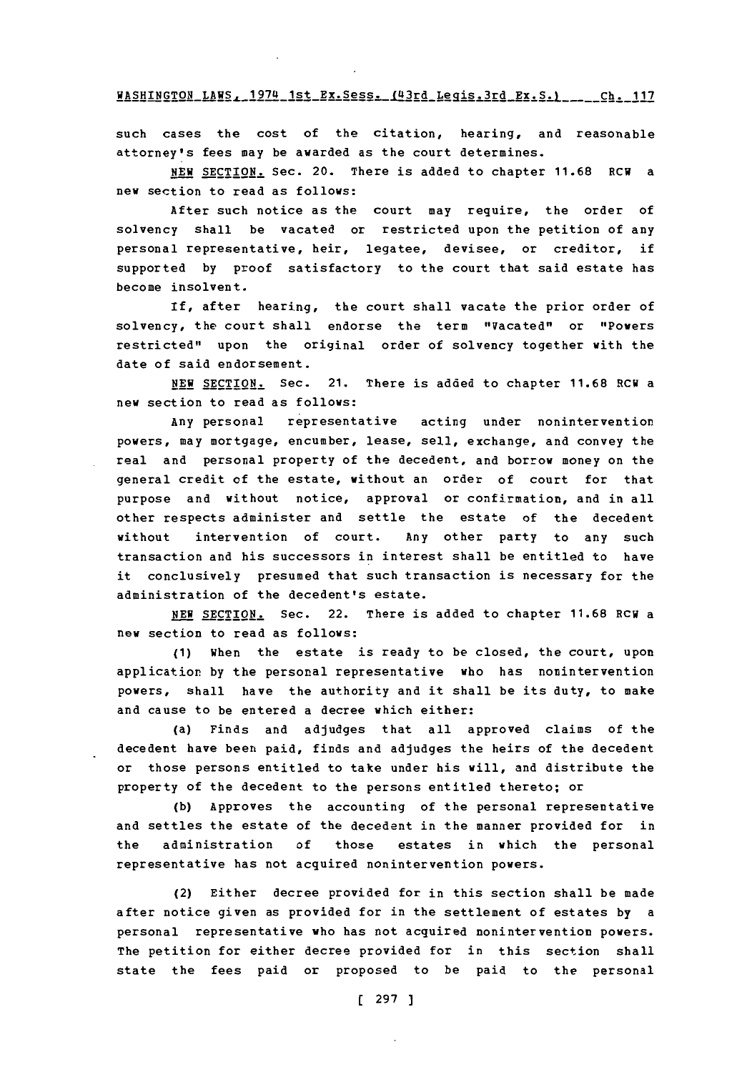**WASHINGTON\_LAWS, 1974.1st\_Ex.Sess. (43rd Legis.3rd Ex.S.) \_\_\_\_\_ Ch. 117** 

such cases the cost of the citation, hearing, and reasonable attorney's fees may be awarded as the court determines.

**NEW SECTION.** Sec. 20. There is added to chapter **11.68** RCW a new section to read as follows:

After such notice as the court may require, the order of solvency shall be vacated or restricted upon the petition of any personal representative, heir, legatee, devisee, or creditor, if supported **by** proof satisfactory to the court that said estate has become insolvent.

If, after hearing, the court shall vacate the prior order of solvency, the court shall endorse the term "Vacated" or "Powers restricted" upon the original order of solvency together with the date of said endorsement.

**NEW** SECTION. Sec. 21. There is added to chapter **11.68** RCW a new section to read as follows:

Any personal representative acting under nonintervention powers, may mortgage, encumber, lease, sell, exchange, and convey the real and personal property of the decedent, and borrow money on the general credit of the estate, without an order of court for that purpose and without notice, approval or confirmation, and in all other respects administer and settle the estate of the decedent without intervention of court. Any other party to any such transaction and his successors in interest shall be entitled to have it conclusively presumed that such transaction is necessary for the administration of the decedent's estate.

**NEW** SECTION. Sec. 22. There is added to chapter **11.68** RCW a new section to read as follows:

**(1)** When the estate is ready to be closed, the court, upon application **by** the personal representative who has nonintervention powers, shall have the authority and it shall be its duty, to make and cause to be entered a decree which either:

(a) Finds and adjudges that all approved claims of the decedent have been paid, finds and adjudges the heirs of the decedent or those persons entitled to take under his will, and distribute the property of the decedent to the persons entitled thereto; or

**(b)** Approves the accounting of the personal representative and settles the estate of the decedent in the manner provided for in the administration **of** those estates in which the personal representative has not acquired nonintervention powers.

(2) Either decree provided for in this section shall be made after notice given as provided for in the settlement of estates **by** <sup>a</sup> personal representative who has not acquired nonintervention powers. The petition for either decree provided for in this section shall state the fees paid or proposed to be paid to the personal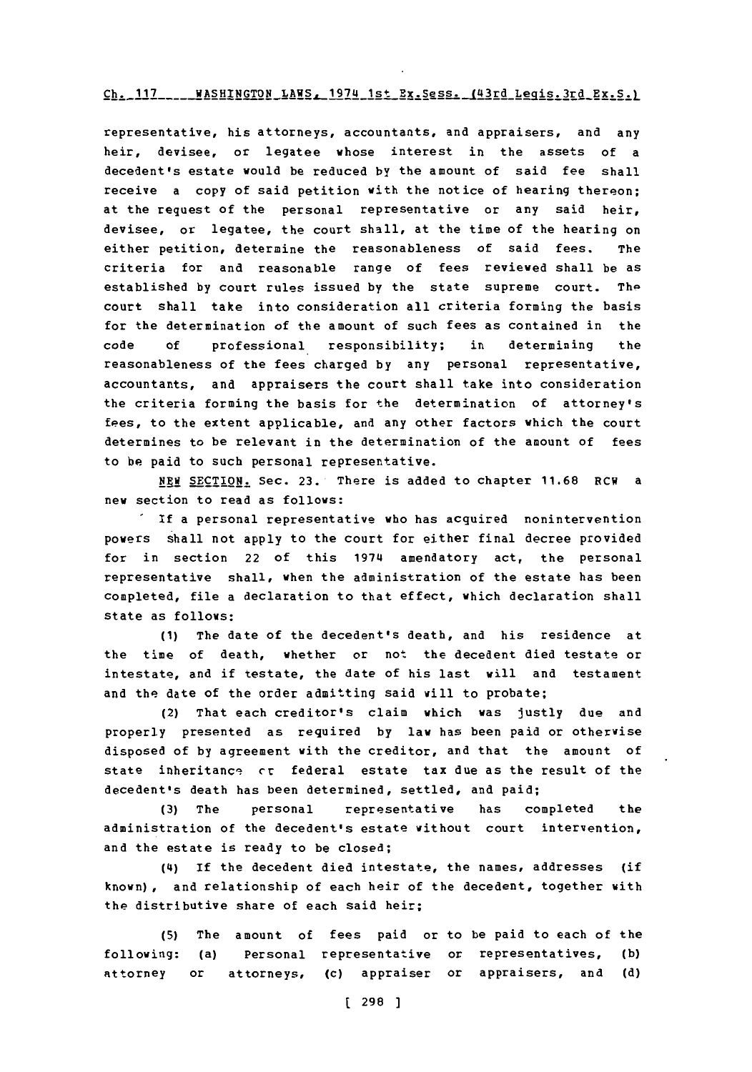### Ch. 117 \_\_\_\_\_ WASHINGTON\_LAWS. 1974\_1st Ex. Sess. (43rd Legis. 3rd Ex. S.)

representative, his attorneys, accountants, and appraisers, and any heir, devisee, or legatee whose interest in the assets of a decedent's estate would be reduced **by** the amount of said fee shall receive a copy of said petition with the notice of hearing thereon; at the request of the personal representative or any said heir, devisee, or legatee, the court shall, at the time of the hearing on either petition, determine the reasonableness of said fees. The criteria for and reasonable range **of** fees reviewed shall be as established **by** court rules issued **by** the state supreme court. Tha court shall take into consideration all criteria forming the basis for the determination of the amount of such fees as contained in the code **of** professional responsibility; in determining the reasonableness of the fees charged **by** any personal representative, accountants, and appraisers the court shall take into consideration the criteria forming the basis for the determination of attorney's fees, to the extent applicable, and any other factors which the court determines to be relevant in the determination of the amount of fees to be paid to such personal representative.

**NEW** SECTION. Sec. **23.** There is added to chapter **11.68** RCW a new section to read as follows:

If a personal representative who has acquired nonintervention powers shall not apply to the court for either final decree provided for in section 22 of this 1974 amendatory act, the personal representative shall, when the administration of the estate has been completed, file a declaration to that effect, which declaration shall state as follows:

**(1)** The date of the decedent's death, and his residence at the time of death, whether or not the decedent died testate or intestate, and if testate, the date of his last will and testament and the date of the order admitting said will to probate;

(2) That each creditor's claim which was justly due and properly presented as required **by** law has been paid or otherwise disposed of **by** agreement with the creditor, and that the amount of state inheritance or federal estate tax due as the result of the decedent's death has been determined, settled, and paid;

**(3)** The personal representative has completed the administration of the decedent's estate without court intervention, and the estate is ready to be closed;

**(4i)** If the decedent died intestate, the names, addresses (if known) , and relationship of each heir of the decedent, together with the distributive share of each said heir;

**(5)** The amount of fees paid or to be paid to each of the following: (a) Personal representative or representatives, **(b)** attorney or attorneys, (c) appraiser or appraisers, and **(d)**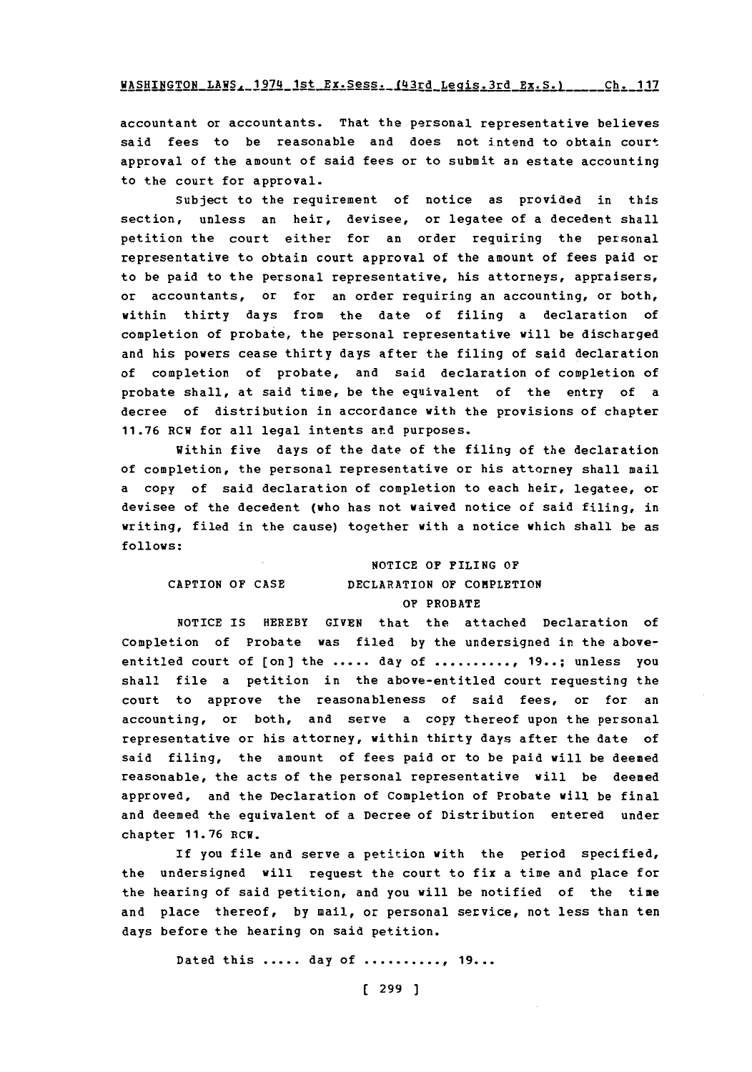accountant or accountants. That the personal representative believes said fees to be reasonable and does not intend to obtain court approval of the amount of said fees or to submit an estate accounting to the court for approval.

Subject to the requirement of notice as provided in this section, unless an heir, devisee, or legatee of a decedent shall petition the court either for an order requiring the personal representative to obtain court approval of the amount of fees paid or to be paid to the personal representative, his attorneys, appraisers, or accountants, or for an order requiring an accounting, or both, within thirty days from the date of filing a declaration of completion of probate, the personal representative will be discharged and his powers cease thirty days after the filing of said declaration of completion of probate, and said declaration of completion of probate shall, at said time, be the equivalent of the entry of a decree of distribution in accordance with the provisions of chapter **11.76** RCW for all legal intents and purposes.

Within five days of the date of the filing of the declaration of completion, the personal representative or his attorney shall mail a copy of said declaration of completion to each heir, legatee, or devisee of the decedent (who has not waived notice of said filing, in writing, filed in the cause) together with a notice which shall be as **follows:**

# NOTICE **OF** FILING OF **CAPTION** OF **CASE** DECLARATION OF COMPLETION OF PROBATE

NOTICE **IS** HEREBY GIVEN that the attached Declaration of Completion of Probate was filed **by** the undersigned in the aboveentitled court of [on] the ..... day of .........., 19..; unless you shall file a petition in the above-entitled court requesting the court to approve the reasonableness of said fees, or for an accounting, or both, and serve a copy thereof upon the personal representative or his attorney, within thirty days after the date of said filing, the amount of fees paid or to be paid will be deemed reasonable, the acts of the personal representative will be deemed approved, and the Declaration of Completion of Probate will be final and deemed the equivalent of a Decree of Distribution entered under chapter **11.76** RCW.

If you file and serve a petition with the period specified, the undersigned will request the court to fix a time and place for the hearing of said petition, and you will be notified of the time and place thereof, **by** mail, or personal service, not less than ten days before the hearing on said petition.

Dated this.......day **of............ 19...**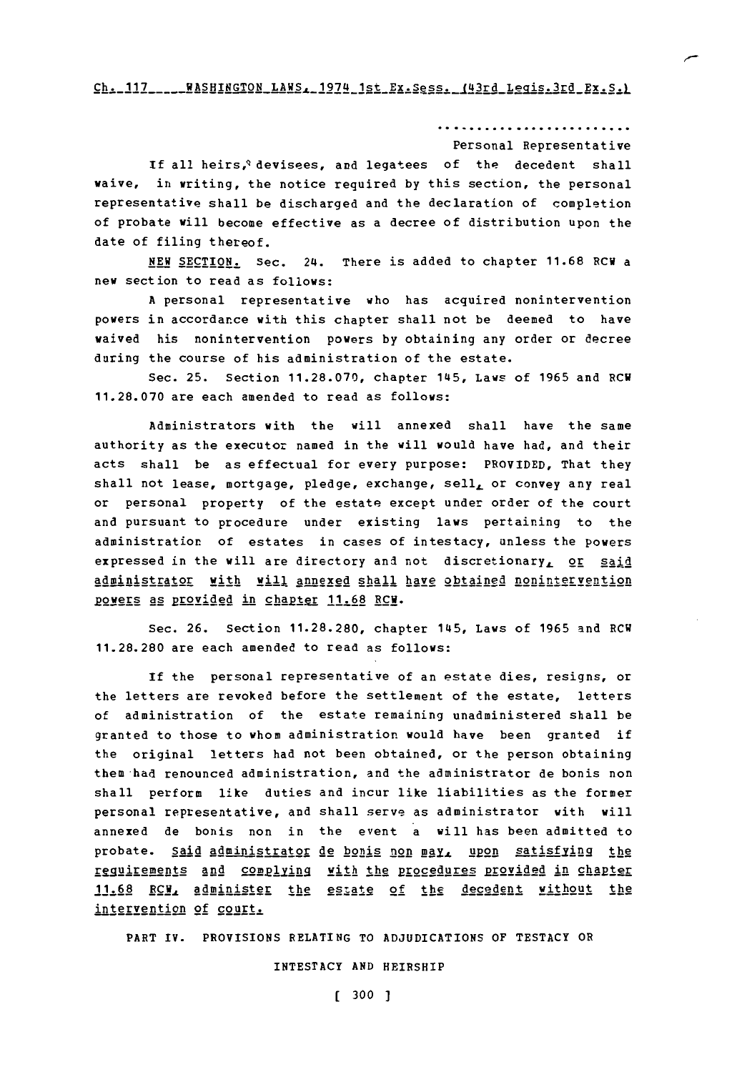**Ch. 117** WASHINGTON **LAWS.** 1974 1st Ex.Se ss. (43rd Leqis.3rd Ex. S.)

Personal Representative

If all heirs,<sup>9</sup> devisees, and legatees of the decedent shall waive, in writing, the notice required **by** this section, the personal representative shall be discharged and the declaration of completion of probate will become effective as a decree of distribution upon the date of filing thereof.

**NEW SECTION.** Sec. 24. There is added to chapter **11.68** RCW a new section to read as follows:

**A** personal representative who has acquired nonintervention powers in accordance with this chapter shall not be deemed to have waived his nonintervention powers **by** obtaining any order or decree during the course of his administration of the estate.

Sec. **25.** Section **11.28.070,** chapter 145, Laws of **1965** and RCW **11.28.070** are each amended to read as follows:

Administrators with the will annexed shall have the same authority as the executor named in the will would have had, and their acts shall be as effectual for every purpose: PROVIDED, That they shall not lease, mortgage, pledge, exchange, sell, or convey any real or personal property of the estate except under order of the court and pursuant to procedure under existing laws pertaining to the administration of estates in cases of intestacy, unless the powers expressed in the will are directory and not discretionary, or said administrator with will annexed shall have obtained nonintervention powers as provided in chapter 11.68 RCW.

Sec. **26.** Section **11.28.280,** chapter 145, Laws of **1965** and RCW **11.28.280** are each amended to read as follows:

**if** the personal representative of an estate dies, resigns, or the letters are revoked before the settlement of the estate, letters of administration of the estate remaining unadministered shall be granted to those to whom administration would have been granted if the original letters had not been obtained, or the person obtaining them-had renounced administration, and the administrator de bonis non shall perform like duties and incur like liabilities as the former personal representative, and shall serve as administrator with will annexed de bonis non in the event a will has been admitted to probate. Said administrator de bonis non may, upon satisfying the reguirements and complying with the procedures provided in chapter **11.68 RCMF.** administer the estate **of** the decedent without the intervention of court.

PART IV. PROVISIONS **RELATING** TO ADJUDICATIONS OF **TESTACY** OR

INTESTACY **AND** HEIRSHIP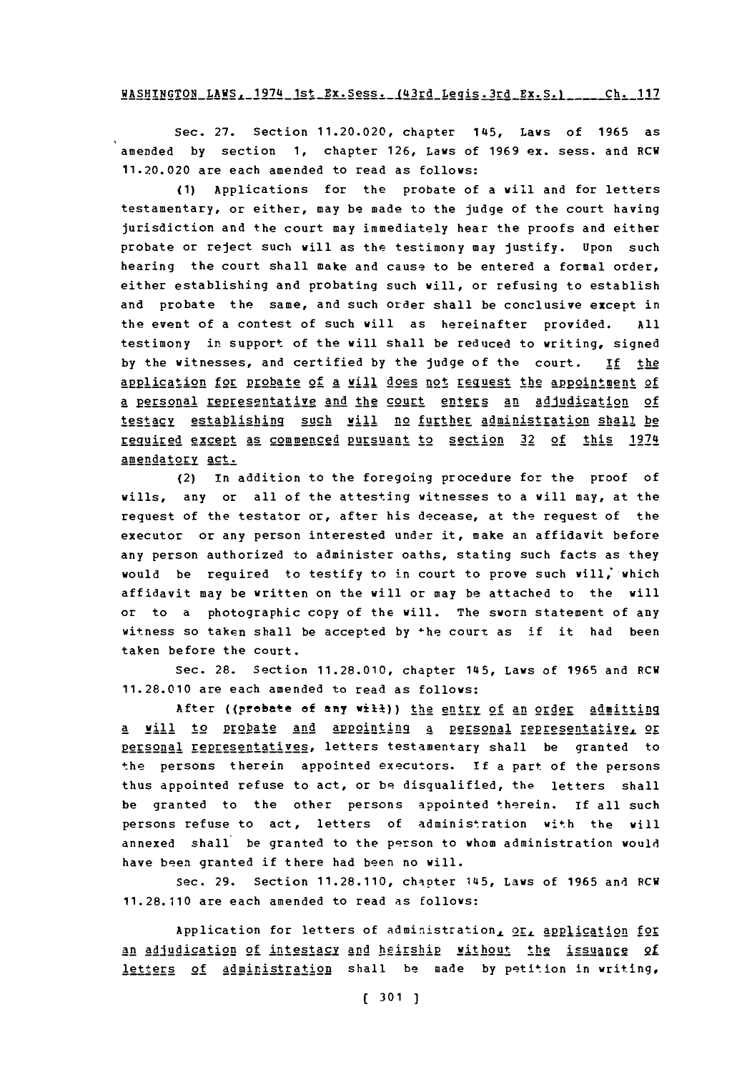**WASHINGTON LAWS, 1974 1st Ex. Sess. (43rd Legis. 3rd Ex. S.) Ch. 117** 

Sec. **27.** Section 11.20.020, chapter 145, Laws of **1965** as amended **by** section **1,** chapter **126,** Laws of **1969 ex.** sess. and RCW 11.20.020 are each amended to read as follows:

**(1)** Applications for the probate of a will and for letters testamentary, or either, may be made to the judge of the court having jurisdiction and the court may immediately hear the proofs and either probate or reject such will as the testimony may justify. Upon such hearing the court shall make and cause to be entered a formal order, either establishing and probating such will, or refusing to establish and probate the same, and such order shall be conclusive except in the event of a contest of such will as hereinafter provided. **All** testimony in support of the will shall be reduced to writing, signed **by** the witnesses, and certified **by** the judge of the court. **If** the application for probate of a will does not request the appointment of a personal representative and the court enters an adjudication of testacy establishing such will no further administration shall be reguired except as commenced pursuant to section 32 of this 1974 amendatory act.

(2) In addition to the foregoing procedure for the proof of wills, any or all of the attesting witnesses to a will may, at the request of the testator or, after his decease, at the request of the executor or any person interested under it, make an affidavit before any person authorized to administer oaths, stating such facts as they would be required to testify to in court to prove such will, which affidavit may be written on the will or may be attached to the will or to a photographic copy of the will. The sworn statement of any witness so taken shall be accepted by <sup>+</sup>he court as if it had been taken before the court.

Sec. **28.** Section **11.28.010,** chapter 145, Laws of **1965** and RCW **11.28.010** are each amended to read as follows:

After ((probate of any will)) the entry of an order admitting a will to probate and appointing a personal representative, or personal representatives, letters testamentary shall be granted to the persons therein appointed executors. If a part of the persons thus appointed refuse to act, or **be** disqualified, the letters shall be granted to the other persons appointed therein. **If** all such persons refuse to act, letters of administration with the will annexed shall be granted to the person to whom administration would have been granted if there had been no will.

Sec. **29.** Section **11.28.110,** chaoter 145, Laws of **1965** and **RCV 11.28.110** are each amended to read as follows:

Application for letters of administration, or, application for an adjudication of intestacy and heirship without the issuance of letters of administration shall be made **by** petition in writing,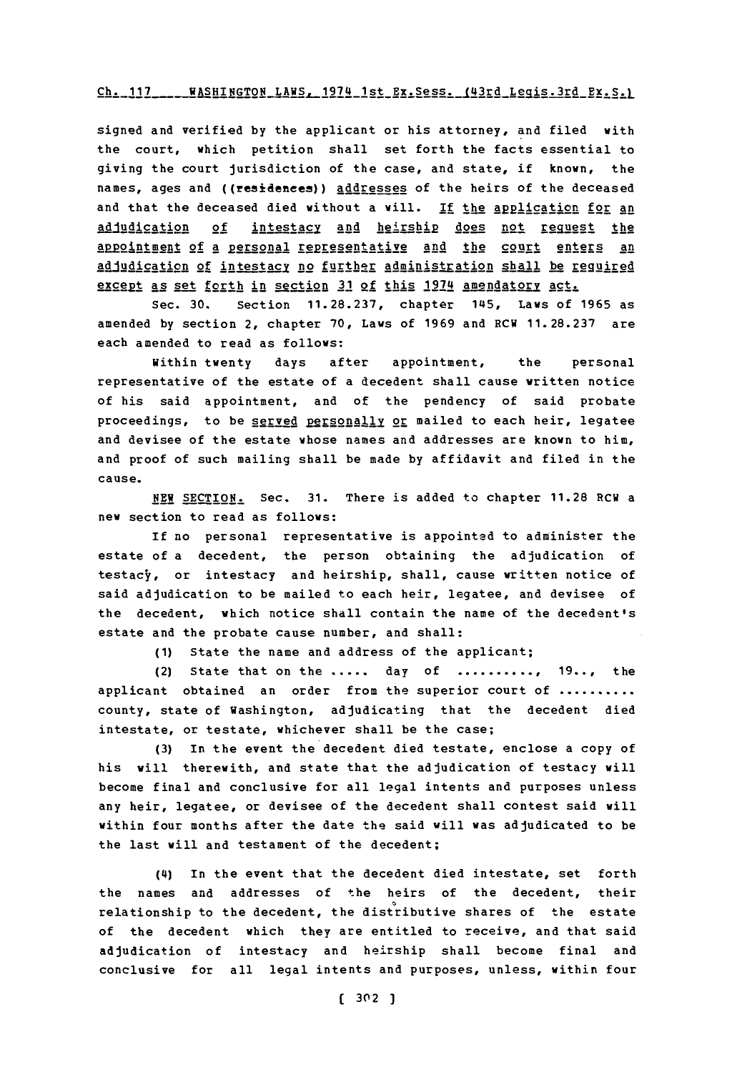# Ch. 117 **12 8 WASHINGTON LAWS, 1974 1st Ex. Sess. (43rd Legis.3rd Ex. S.)**

signed and verified **by** the applicant or his attorney, and filed with the court, which petition shall set forth the facts essential to giving the court jurisdiction of the case, and state, if known, the names, ages and ((residences)) addresses of the heirs of the deceased and that the deceased died without a will. If the application for an adjudication of intestacy and heirship does not request the appointment of a personal representative and the court enters an adjudication of intestacy no further administration shall be required 2-3222 as set1 forfth in §2ction **31** of this **1974** amendatory act.

Sec. **30.** Section **11.28.237,** chapter 145, Laws of **1965** as amended **by** section 2, chapter **70,** Laws of **1969** and RCW **11.28.237** are each amended to read as follows:

Within twenty days after appointment, the personal representative of the estate of a decedent shall cause written notice of his said appointment, and of the pendency of said probate proceedings, to be served personally or mailed to each heir, legatee and devisee of the estate whose names and addresses are known to him, and proof of such mailing shall be made **by** affidavit and filed in the cause.

**NEW** SECTION. Sec. **31.** There is added to chapter 11.28 RCW a new section to read as follows:

**if** no personal representative is appointed to administer the estate of a decedent, the person obtaining the adjudication of testacy, or intestacy and heirship, shall, cause written notice of said adjudication to be mailed to each heir, legatee, and devisee of the decedent, which notice shall contain the name of the decedent's estate and the probate cause number, and shall:

**(1)** State the name and address of the applicant;

(2) State that on the........day **of............. 19..,** the applicant obtained an order from the superior court **of...........** county, state of Washington, adjudicating that the decedent died intestate, or testate, whichever shall be the case;

**(3)** In the event the decedent died testate, enclose a copy of his will therewith, and state that the adjudication of testacy will become final and conclusive for all legal intents and purposes unless any heir, legatee, or devisee of the decedent shall contest said will within four months after the date the said will was adjudicated to be the last will and testament of the decedent;

(4) In the event that the decedent died intestate, set forth the names and addresses of the heirs of the decedent, their relationship to the decedent, the distributive shares of the estate of the decedent which they are entitled to receive, and that said adjudication of intestacy and heirship shall become final and conclusive for all legal intents and purposes, unless, within four

**( 302 ]**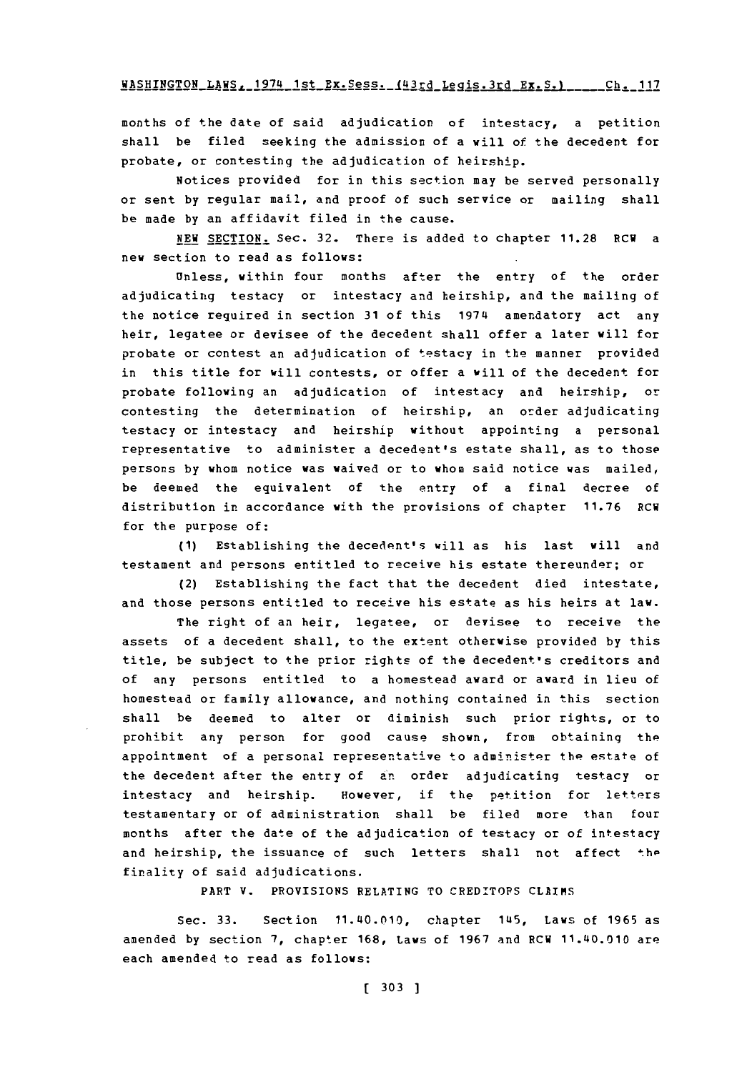WASHINGTON LAWS, 1974 1st Ex. Sess. (43rd Legis.3rd Ex. S.) Ch. 117

months of the date of said adjudication of intestacy, a petition shall be filed seeking the admission of a will of the decedent for probate, or contesting the adjudication of heirship.

Notices provided for in this section may be served personally or sent **by** regular mail, and proof of such service or mailing shall be made **by** an affidavit filed in the cause.

**NEW SECTION.** Sec. **32.** There is added to chapter **11.28** RCW a new section to read as follows:

Unless, within four months after the entry of the order adjudicating testacy or intestacy and heirship, and the mailing of the notice required in section **31** of this 1974 amendatory act any heir, legatee or devisee of the decedent shall offer a later will for probate or contest an adjudication of testacy in the manner provided in this title for will contests, or offer a will of the decedent for probate following an adjudication of intestacy and heirship, or contesting the determination of heirship, an order adjudicating testacy or intestacy and heirship without appointing a personal representative to administer a decedent's estate shall, as to those persons **by** whom notice was waived or to whom said notice was mailed, be deemed the equivalent of the entry of a final decree of distribution in accordance with the provisions of chapter **11.76** RCW for the purpose of:

**(1)** Establishing the decedpent's will as his last will and testament and persons entitled to receive his estate thereunder; or

(2) Establishing the fact that the decedent died intestate, and those persons entitled to receive his estate as his heirs at law.

The right of an heir, legatee, or devisee to receive the assets of a decedent shall, to the extent otherwise provided **by** this title, be subject to the prior rights of the decedent's creditors and of any persons entitled to a homestead award or award in lieu of homestead or family allowance, and nothing contained in this section shall be deemed to alter or diminish such prior rights, or to prohibit any person for good cause shown, from obtaining the appointment of a personal representative to administer the estate of the decedent after the entry of an order adjudicating testacy or intestacy and heirship. However, if the petition for letters testamentary or of administration shall be filed more than four months after the date of the adjudication of testacy or of intestacy and heirship, the issuance of such letters shall not affect the finality of said adjudications.

PART V. PROVISIONS RELATING TO **CREDITOPS** CLAIMS

Sec. **33.** Section 11.4J0.010, chapter **1U5,** Laws of **1965** as amended **by** section **7,** chapter **168,** Laws of **1967** and RCW 11.40O.010 are each amended to read as follows: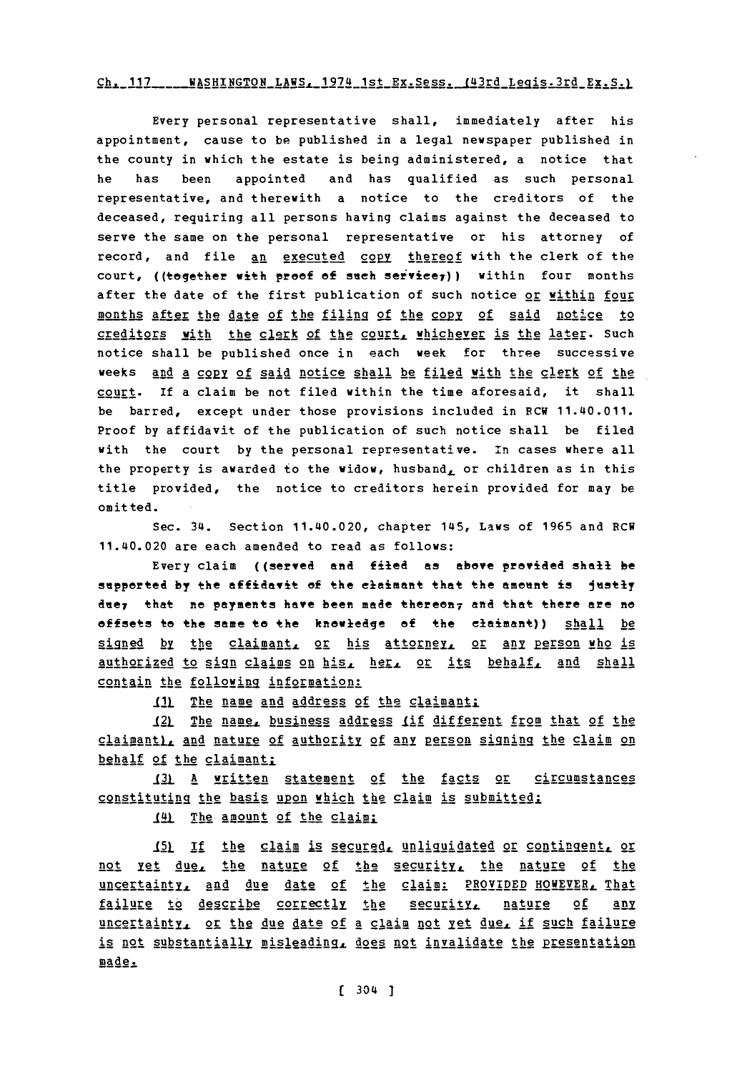#### $Ch. 117$  WASHINGTON LAWS,  $1974$  1st Ex. Sess. (43rd Legis.3rd Ex. S.)

Every personal representative shall, immediately after his appointment, cause to **be** published in a legal newspaper published in the county in which the estate is being administered, a notice that he has been appointed and has qualified as such personal representative, and therewith a notice to the creditors of the deceased, requiring all persons having claims against the deceased to serve the same on the personal representative or his attorney of record, and file an executed copy thereof with the clerk of the court, ((together with proof of such service<sub>7</sub>)) within four months after the date of the first publication of such notice or within four months after the date of the filing of the copy of said notice to creditors with the clerk of the court, whichever is the later. Such notice shall be published once in each week for three successive weeks and a copy of said notice shall be filed with the clerk of the court. If a claim be not filed within the time aforesaid, it shall be barred, except under those provisions included in RCW 11.40.011. Proof **by** affidavit of the publication of such notice shall be filed with the court **by** the personal representative. in cases where all the property is awarded to the widow, husband, or children as in this title provided, the notice to creditors herein provided for may be omitted.

Sec. 34. Section 11.40.020, chapter 145, Laws of **1965** and RCW 11.40.020 are each amended to read as follows:

Every claim **((served and** filed **as** above provided shall be sapported **by** the affidavit **of** the elaimant that the amount is **juistly** due, that no payments have been made thereon, and that there are no offsets **to** the same to the knowledge **of** the elimant)) shall **be** signed by the claimant, or his attorney, or any person who is authorized to sign claims on his, her, or its behalf, and shall contain the following information:

Il The name and address of the claimant:

12) The name, business address (if different from that of the claimantl, and nature of authority of any person signing the claim on behalf of the claimant:

**13) A** written statement of the facts or circumstances constituting the basis upon which the claim is submitted:

141 The amount of the claim:

IS) If the claim is secured, unliguidated or contingent, or not ret due, the nature of the security, the nature of the uncertainty, and due date of the claim: PROVIDED HOWEVER, That failure to describe correctly the security, nature of any Uncert aint., or the due date of a claim not yet **dueg, if** such failure is not substantially misleading, does not invalidate the presentation made.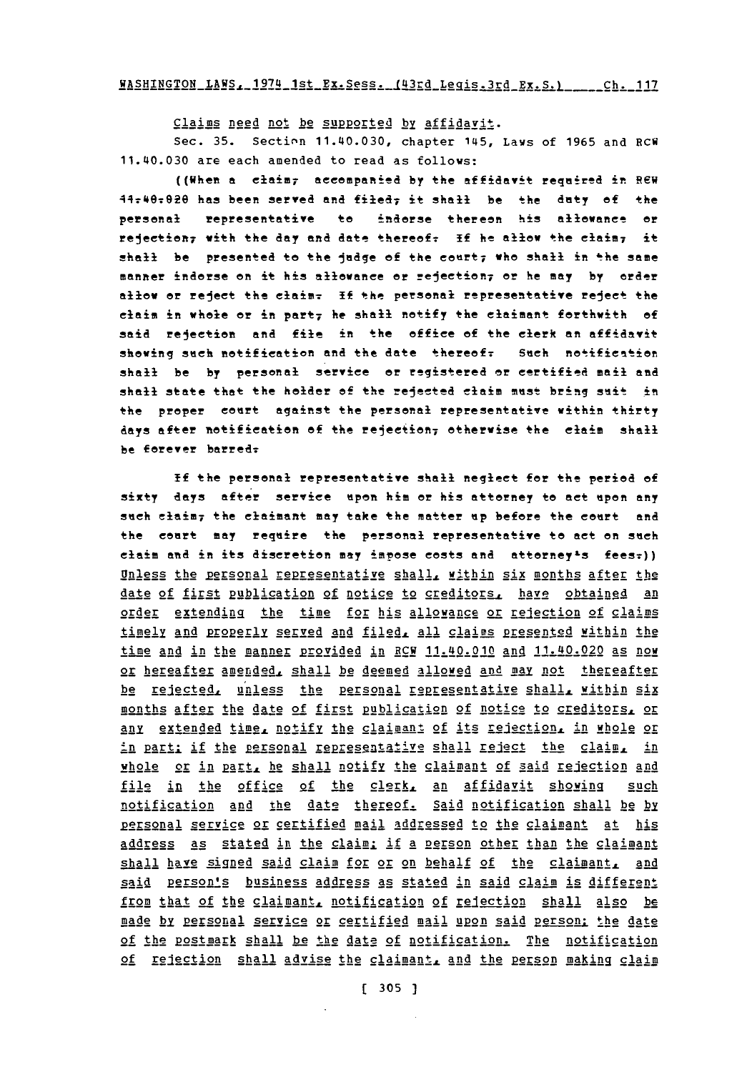Claims need not **be** suppoted **by** Affidavit.

Sec. **35.** Section 11.40.030, chapter 145, Laws **of 1965** and RCW 11.40.030 are each amended to read as follows:

((When **a** claim; **accompanied by the** affidavit required in REW 14:40792e has been served and filedy it shall be the dty **of** the personal representative to indorse thereon his allowance or rejection; with the day and date thereof: If he allow the claim; it shall be presented to the judge of the court; who shall in the same manner inderse en it his allovance or rejection7 or he may **by** order **aliow** or reject the elaim **if** the personal representative reject the claim in whole or in party he shall notify the claimant forthwith of said rejection and file in the office **of** the clerk an affidavit showing such notification and the date thereof. Such notification shall be **by** personal service or registered or eartified mail and shall state that the holder of the rejected elaim must bring suit in the proper court against the personal representative within thirty days after notification of the rejection<sub>7</sub> otherwise the claim shall be forever barred:

**if** the personal representative shall neglect for the period **of** sixty **days** after service upon his or his attorney to act upon any such elaimy the claimant may take the matter **up** before the court and the eourt may require the personal representative to act **an** such claim and in its discretion may impose costs and attorney<sup>1</sup>s fees<sub>7</sub>)) Unless the personal representative shall, within six months after the date of first publication of notice to creditors, have obtained an order extending the time for his allowance or rejection of claims timely and properly served and filed, all claims presented within the time and in the manner provided in RCW 11.40.010 and 11.40.020 as now or hereafter amended, shall be deemed allowed and may not thereafter **be rejected, unless the personal representative shall, within six** months after the date of first **publication of notice to cred itors, or** any extended time, notify the claimant of its rejection, in whole or in part: if the personal representative shall reject the claim, in whole or in **part,** he shall notify the claimant of said rejgcion and file in the office of the clerk, an affidavit showing such notification and the date thereof. Said notification shall be by prsonal service or certified mail addressed to the claimant at his address as stated in the claim: if a oerson other than the claimant shall have signed said claim for or on behalf of the claimant, and said person's business address as stated in said claim is different from that of the claimant, notification of rejection shall also be made by personal service or certified mail upon said person; the date **of** the postmark shall be the date of notification. The notification **of** reection shall advise the claimantz and the person making glaim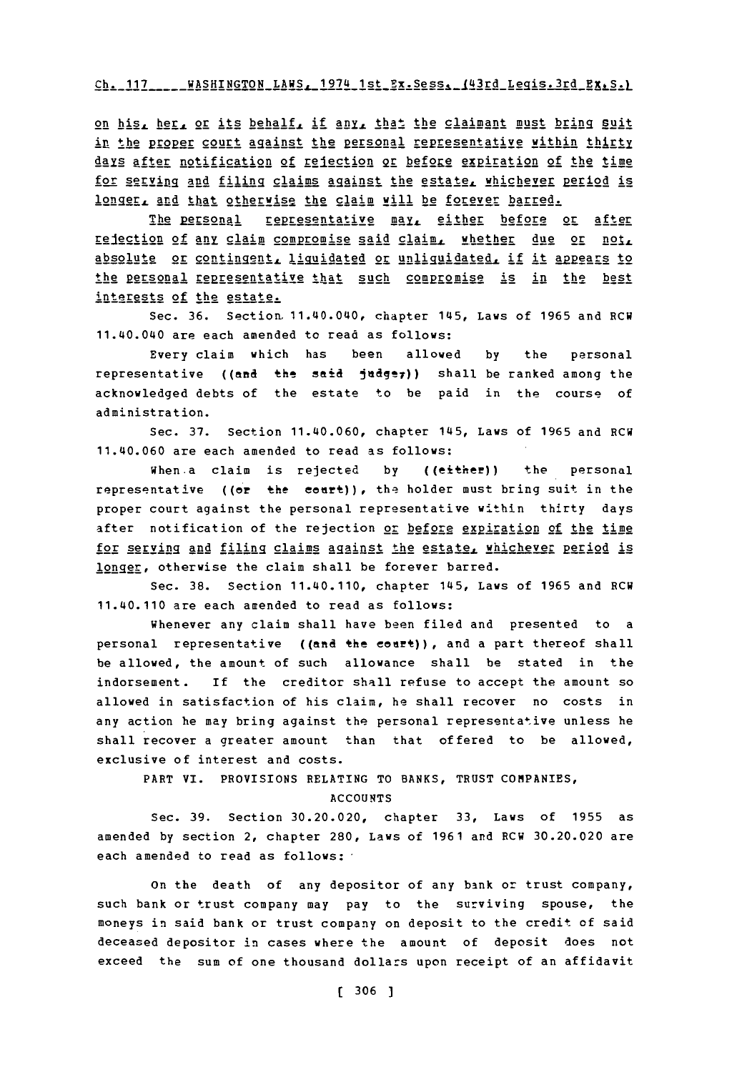Ch. 117 WASHINGTON LAWS, 1974 1st Ex.Sess, 143rd Legis.3rd Ex.S.)

on his, her or its behal f. if anyz that the claimant must bring **Euit** in the proper court against the personal representative within thirty days after notification of rejection or before expiration of the time for serving **and** filing claims against the e state, whichever Period is longer, and that otherwise the claim will be forever barred.

The personal representative may, either before or after Egiglion of any claim compromise said claim,~ whether due or **no~x** absolute or contingent, liguidated or unliguidated, if it appears to the personal representative that such compromise is in the best interests of the estate.

Sec. **36.** Section, 11.40.040, chapter 145, Laws of **1965** and RCW 11.40.040 are each amended to read as follows:

Every claim which has been allowed **by** the personal representative ((and the said judge7)) shall be ranked among the acknowledged debts of the estate to be paid in the course of administration.

Sec. **37.** Section 11.40.060, chapter 145, Laws of **1965** and RCW 11.40.060 are each amended to read as follows:

When-a claim is rejected **by** ((eithef)) the personal representative ((or the court)), the holder must bring suit in the proper court against the personal representative within thirty days after notification of the rejection or before expiration of the time **for serving and filing claims against the estate, whichever period is** longer, otherwise the claim shall be forever barred.

Sec. **38.** Section 11.40.110, chapter 145, Laws of **1965** and RCW 11.40.110 are each amended to read as follows:

Whenever any claim shall have been filed and presented to a personal representative ((and the court)), and a part thereof shall be allowed, the amount of such allowance shall be stated in the indorsement. If the creditor shall refuse to accept the amount so allowed in satisfaction of his claim, he shall recover no costs in any action he may bring against the personal representative unless he shall recover a greater amount than that offered to be allowed, exclusive of interest and costs.

PART VI. PROVISIONS RELATING TO **BANKS,** TRUST COMPANIES,

**ACCOUNTS**

Sec. **39.** Section **30.20.020,** chapter **33,** Laws of **1955** as amended **by** section 2, chapter 280, Laws **Of 1961** and RCW **30.20.020** are each amended to read as follows:

On the death of any depositor of any bank or trust company, such bank or trust company may pay to the surviving spouse, the moneys in said bank or trust company on deposit to the credit of said deceased depositor in cases where the amount of deposit does not exceed the sum of one thousand dollars upon receipt of an affidavit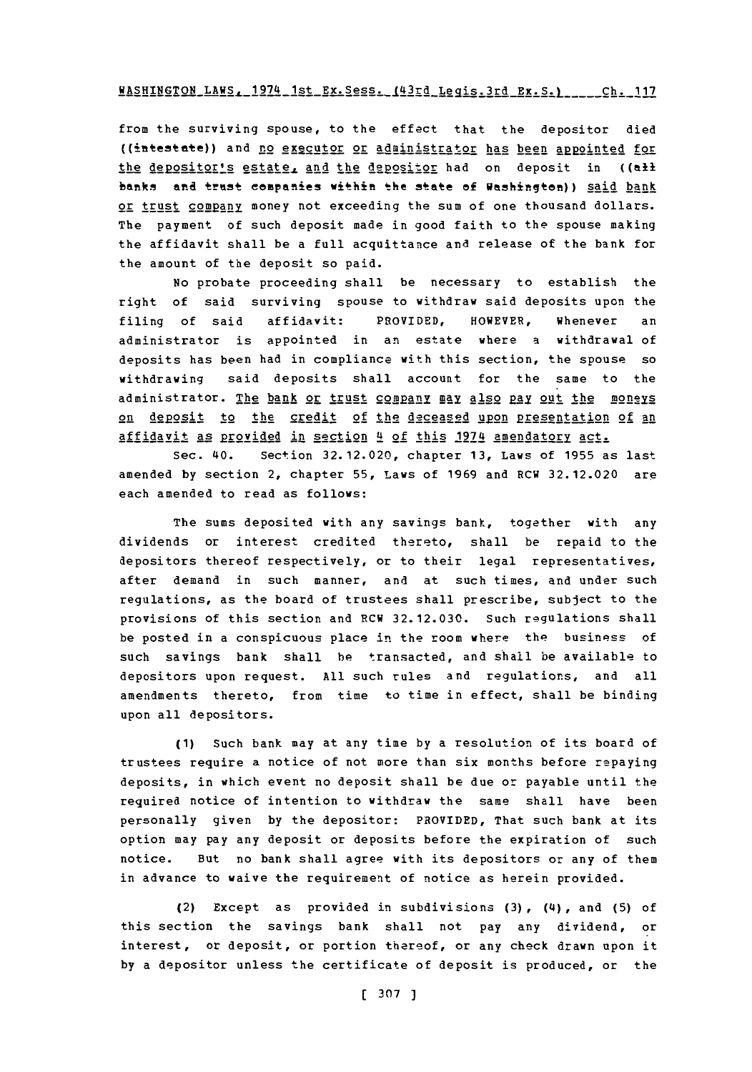# **WASHINGTON LAWS. 1974** 1St Ex.Sess.\_ 13rdLeaqis.3rd **Ex.S.1L\_ Ch. 117**

from the surviving spouse, to the effect that the depositor died ((intestate)) and no executor or administrator has been appointed for the depositor's estate, and the depositor had on deposit in ((all banks and trust companies within the state of Washington)) said bank or trust company money not exceeding the sum of one thousand dollars. The payment of such deposit made in good faith to the spouse making the affidavit shall he a full acquittance and release of the bank for the amount of the deposit so paid.

**No** probate proceeding shall be necessary to establish the right of said surviving spouse to withdraw said deposits upon the filing of said affidavit: PROVIDED, HOWEVER, Whenever an administrator is appointed in an estate where a withdrawal of deposits has been had in compliance with this section, the spouse so withdrawing said deposits shall account for the same to the administrator. The bank or trust company may also pay out the moneys on deposit to the credit of the deceased upon presentation of an affidavit as provided in section 4 of this 1974 amendatory act.

Sec. 40. Section **32. 12.020,** chapter **13,** Laws of **1955** as last amended **by** section **2,** chapter **55,** Laws of **1969** and RCW **32.12.020** are each amended to read as follows:

The sums deposited with any savings bank, together with any dividends or interest credited thereto, shall be repaid to the depositors thereof respectively, or to their legal representatives, after demand in such manner, and at such times, and under such regulations, as the board of trustees shall prescribe, subject to the provisions of this section and RCW **32.12.030.** such regulations shall be posted in a conspicuous place in the room where the business of such savings bank shall be *transacted, and shall be available to* depositors upon request. **All** such rules and regulations, and all amendments thereto, from time to time in effect, shall be binding upon all depositors.

**(1)** Such bank may at any time **by** a resolution of its board of trustees require a notice of not more than six months before repaying deposits, in which event no deposit shall be due or payable until the required notice of intention to withdraw the same shall have been personally given **by** the depositor: PROVIDED, That such bank at its option may pay any deposit or deposits before the expiration of such notice. But no bank shall agree with its depositors or any of them in advance to waive the requirement of notice as herein provided.

(2) Except as provided in subdivisions **(3),** (4), and **(5)** of this section the savings bank shall not pay any dividend, or interest, or deposit, or portion thereof, or any check drawn upon it **by** a depositor unless the certificate of deposit is produced, or the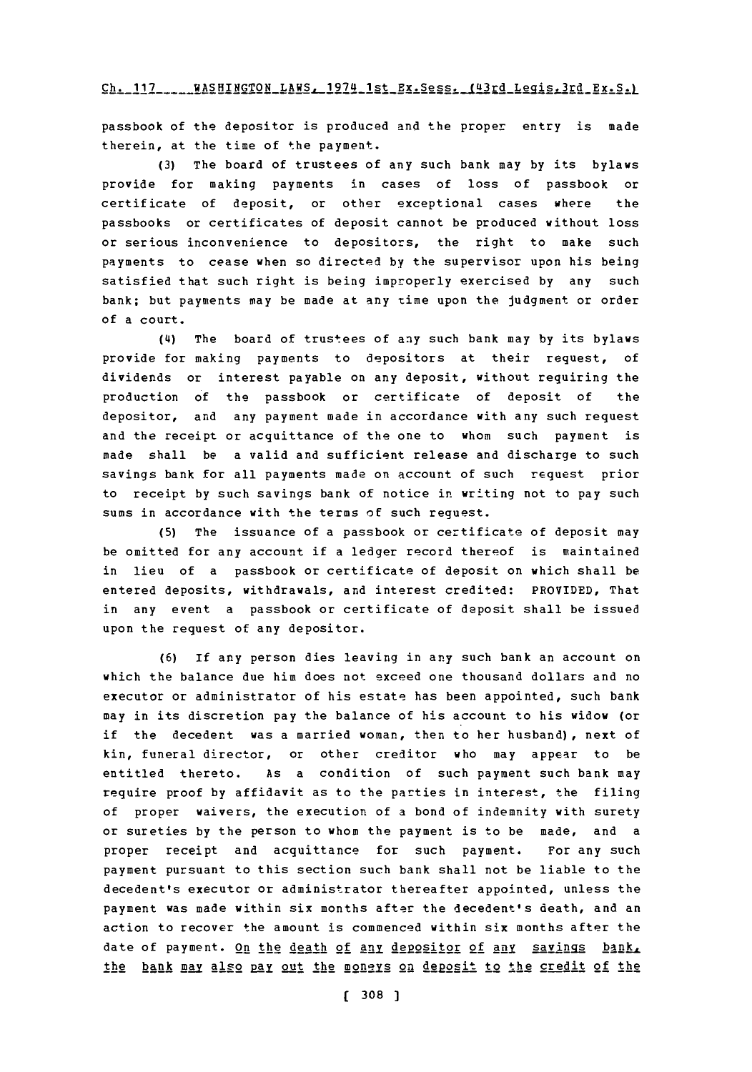# Ch. 117 WASHINGTON LAWS, 1974 1st Ex. Sess. (43rd Legis. 3rd Ex. S.)

passbook of the depositor is produced and the proper entry is made therein, at the time of the payment.

**(3)** The board of trustees of any such bank may **by** its bylaws provide for making payments in cases of loss of passbook or certificate of deposit, or other exceptional cases where the passbooks or certificates of deposit cannot be produced without loss or serious inconvenience to depositors, the right to make such payments to cease when so directed **by** the supervisor upon his being satisfied that such right is being improperly exercised **by** any such bank; but payments may be made at any time upon the judgment or order of a court.

(4) The board of trustees of any such bank may **by** its bylaws provide for making payments to depositors at their request, of dividends or interest payable on any deposit, without requiring the production of the passbook or certificate of deposit of the depositor, and any payment made in accordance with any such request and the receipt or acguittance of the one to whom such payment is made shall be a valid and sufficient release and discharge to such savings bank for all payments made on account of such request prior to receipt **by** such savings bank of notice in writing not to pay such sums in accordance with the terms of such request.

**(5)** The issuance of a passbook or certificate of deposit may be omitted for any account if a ledger record thereof is maintained in lieu of a passbook or certificate of deposit on which shall be entered deposits, withdrawals, and interest credited: PROVIDED, That in any event a passbook or certificate of deposit shall be issued upon the request of any depositor.

**(6)** If any person dies leaving in any such bank an account on which the balance due him does not exceed one thousand dollars and no executor or administrator of his estate has been appointed, such bank may in its discretion pay the balance of his account to his widow (or if the decedent was a married woman, then to her husband) , next of kin, funeral director, or other creditor who may appear to be entitled thereto. As a condition of such payment such bank may require proof **by** affidavit as to the parties in interest, the filing of proper waivers, the execution of a bond of indemnity with surety or sureties **by** the person to whom the payment is to be made, and a proper receipt and acquittance for such payment. For any such payment pursuant to this section such bank shall not be liable to the decedent's executor or administrator thereafter appointed, unless the payment was made within six months after the decedent's death, and an action to recover the amount is commenced within six months after the date of payment. On the death of any depositor of any savings bank. the bank may also pay out the moneys on deposit to the credit of the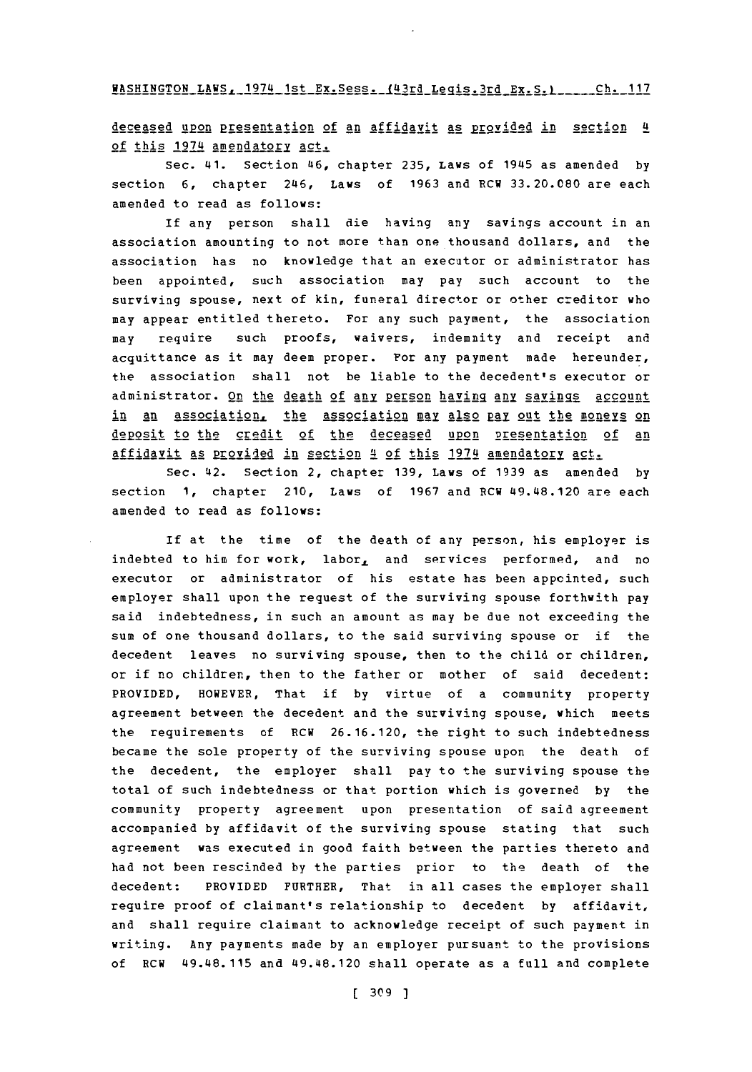**WASHINGTON\_LAWS, 1974\_1st Ex. Sess. 143rd Legis.3rd Ex. S.) \_\_\_\_\_ Ch. 11** 

deceased upon presentation of an affidavit as provided in section 4 of this 1974 amendatory act.

Sec. 41. Section 46, chapter **235,** Laws of 1945 as amended **by** section **6,** chapter 246, Laws of **1963** and RCW **33.20.080** are each amended to read as follows:

If any person shall die having any savings account in an association amounting to not more than one thousand dollars, and the association has no knowledge that an executor or administrator has been appointed, such association may pay such account to the surviving spouse, next of kin, funeral director or other creditor who may appear entitled thereto. For any such payment, the association may require such proofs, waivers, indemnity and receipt and acquittance as it may deem proper. For any payment made hereunder, the association shall not be liable to the decedent's executor or administrator. On the death of any person having any savings account in an association, the association may also pay out the moneys on deposit to the credit of the deceased upon presentation of an affidavit as provided in section 4 of this 1974 amendatory act.

Sec. 42. Section 2, chapter **139,** Laws of **1939** as amended **by** section **1,** chapter 210, Laws of **1967** and RCW 49.48.120 are each amended to read as follows:

If at the time of the death of any person, his employer is indebted to him for work, labor, and services performed, and no executor or administrator of his estate has been appcinted, such employer shall upon the request of the surviving spouse forthwith pay said indebtedness, in such an amount as may be due not exceeding the sum of one thousand dollars, to the said surviving spouse or if the decedent leaves no surviving spouse, then to the child or children, or if no children, then to the father or mother of said decedent: PROVIDED, HOWEVER, That if **by** virtue of a community property agreement between the decedent and the surviving spouse, which meets the requirements of RCW **26.16.120,** the right to such indebtedness became the sole property of the surviving spouse upon the death of the decedent, the employer shall pay to the surviving spouse the total of such indebtedness or that portion which is governed **by** the community property agreement upon presentation of said agreement accompanied **by** affidavit of the surviving spouse stating that such agreement was executed in good faith between the parties thereto and had not been rescinded **by** the parties prior to the death of the decedent: PROVIDED FURTHER, That in all cases the employer shall require proof of claimant's relationship to decedent **by** affidavit, and shall require claimant to acknowledge receipt of such payment in writing. Any payments made **by** an employer pursuant to the provisions of RCW 49.48.115 and 49.48.120 shall operate as a **full** and complete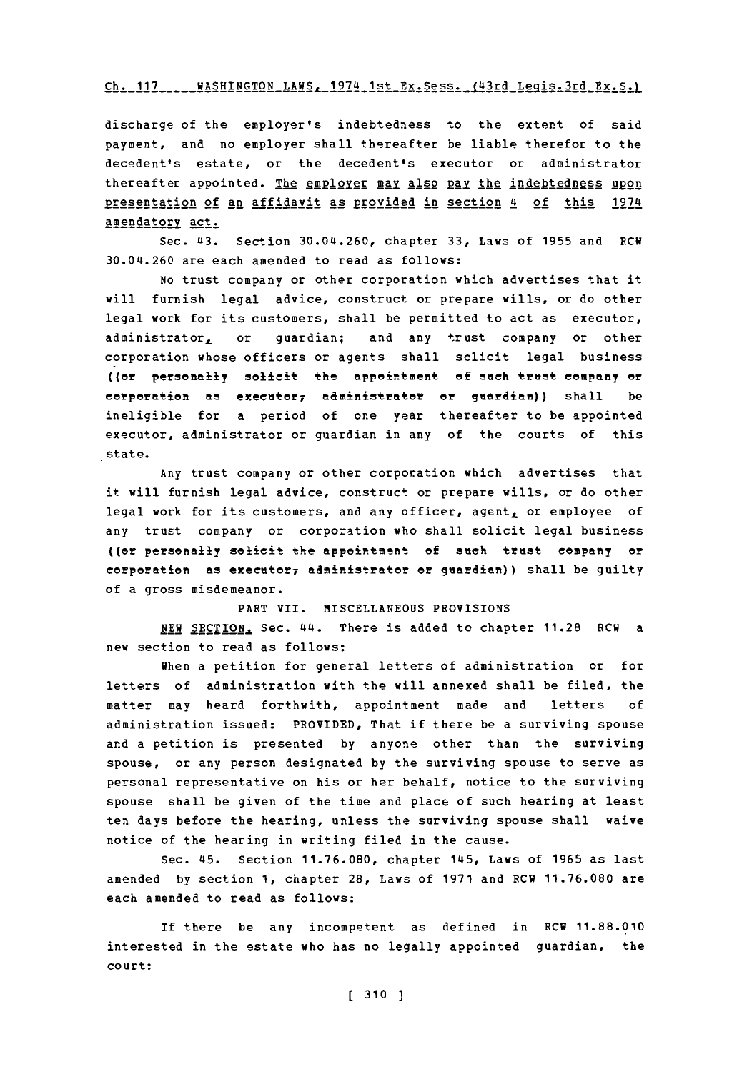## $Ch. 117$  \_\_\_\_\_ WASHINGTON LAWS. 1974 1st Ex. Sess. (43rd Legis. 3rd Ex. S.)

discharge of the employer's indebtedness to the extent of said payment, and no employer shall thereafter be liable therefor to the decedent's estate, or the decedent's executor or administrator thereafter appointed. The employer may also pay the indebtedness upon presentation of an affidavit as provided in section 4 of this 1974 amendatory act.

Sec. **U3.** Section 30.04.260, chapter **33,** Laws of **1955** and RCW 30.04.260 are each amended to read as follows:

No trust company or other corporation which advertises that it will furnish legal advice, construct or prepare wills, or do other legal work for its customers, shall be permitted to act as executor, administrator, or guardian; and any trust company or other corporation whose officers or agents shall solicit legal business ((or persona<del>lly</del> solicit the appointment of such trust company or corporation as executor, administrator or guardian)) shall be ineligible for a period of one year thereafter to be appointed executor, administrator or guardian in any of the courts of this state.

Any trust company or other corporation which advertises that it will furnish legal advice, construct or prepare wills, or do other legal work for its customers, and any officer, agent, or employee of any trust company or corporation who shall solicit legal business ((er personally solicit the appittatn **of** sach trest company **or**  $c$ orporation as executor, administrator or guardian)) shall be guilty of a gross misdemeanor.

#### PART VII. **MISCELLANEOUS** PROVISIONS

**NEW SECTION.** Sec. 44. There is added to chapter 11.28 RCW a new section to read as follows:

when a petition for general letters of administration or for letters of administration with the will annexed shall be filed, the matter may heard forthwith, appointment made and letters **of** administration issued: PROVIDED, That if there be a surviving spouse and a petition is presented **by** anyone other than the surviving **spouse,** or any person designated **by** the surviving spouse to serve as personal representative on his or her behalf, notice to the surviving spouse shall be given of the time and place of such hearing at least ten days before the hearing, unless the surviving spouse shall waive notice of the hearing in writing filed in the cause.

Sec. 45. Section **11.76.080,** chapter 145, Laws of **1965** as last amended **by** section **1,** chapter **28,** Laws of **1971** and **RCW 11.76.080** are each amended to read as follows:

**if** there be any incompetent as defined in RCW **11.88.010** interested in the estate who has no legally appointed guardian, the court: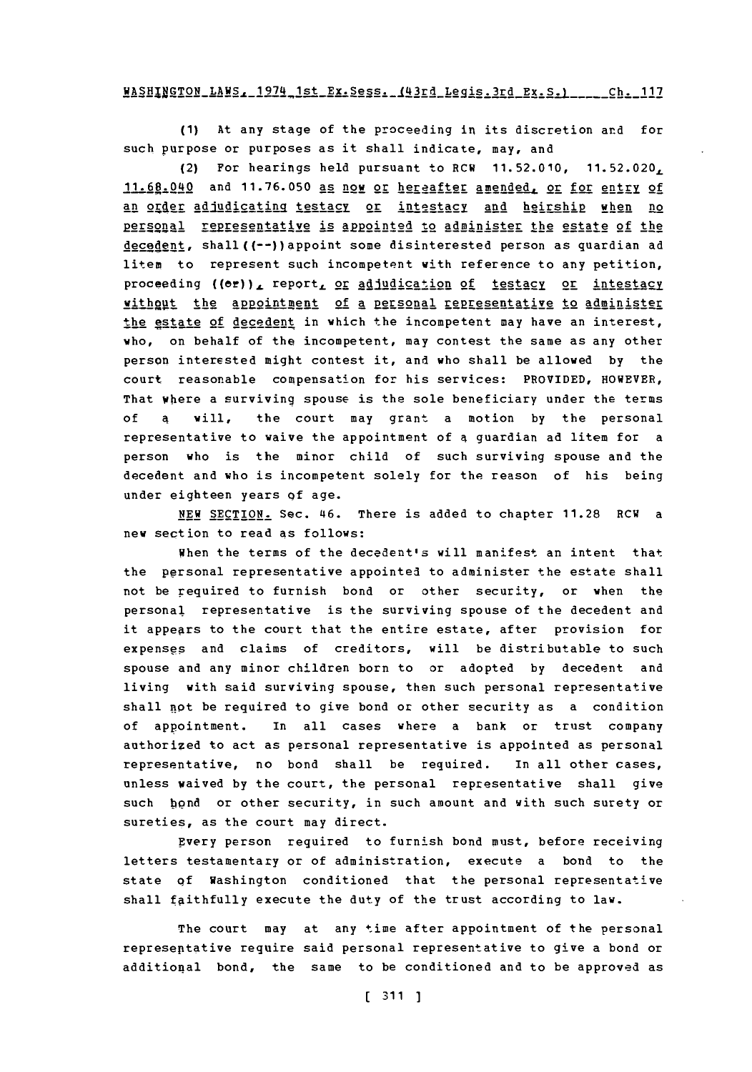# RABjHjp2ItAz1974 1StEs.\_1S.43r d LeqiS.3rd **EZ S.)** Ch17 **gh 117**

**(1)** At any stage of the proceeding in~ its discretion and for such purpose or purposes as it shall indicate, may, and

(2) For hearings held pursuant to RCW 11.52.010, 11.52.020, 11.68.040 and **11.76.050** as now or hereafter amendedj or for entry **of** an order adjudicating testacy or intestacy and heirship when no personal representative is appointed to administer the estate of the decedent, shall ((--)) appoint some disinterested person as quardian ad litem to represent such incompetent with reference to any petition, proceeding ((er)), report, or adjudication of testacy or intestacy without the appointment of a personal representative to administer the estate of decedent in which the incompetent may have an interest, who, on behalf of the incompetent, may contest the same as any other person interested might contest it, and who shall be allowed **by** the court reasonable compensation for his services: PROVIDED, HOWEVER, That where a surviving spouse is the sole beneficiary under the terms **of a** will, the court may grant a motion **by** the personal representative to waive the appointment of a guardian ad litem for a person who is the minor child of such surviving spouse and the decedent and who is incompetent solely for the reason of his being under eighteen years **qf** age.

**NEW SECTION.** Sec. 4\$6. There is added to chapter **11.28** RCW a new section to read as follows:

When the terms of the decedent's will manifest an intent that the personal representative appointed to administer the estate shall not be required to furnish bond or other security, or when the personal representative is the surviving spouse of the decedent and it appears to the court that the entire estate, after provision for expenses and claims of creditors, will be distributable to such spouse and any minor children born to or adopted **by** decedent and living with said surviving spouse, then such personal representative shall not be required to give bond or other security as a condition of appointment. In all cases where a bank or trust company authorized to act as personal representative is appointed as personal representative, no bond shall be required. In all other cases, unless waived **by** the court, the personal representative shall give such bond or other security, in such amount and with such surety or sureties, as the court may direct.

Every person required to furnish bond must, before receiving letters testamentary or of administration, execute a bond to the state **qf** Washington conditioned that the personal representative shall fgithfully execute the duty of the trust according to law.

The court may at any time after appointment of the personal represeptative require said personal representative to give a bond or additional bond, the same to be conditioned and to be approved as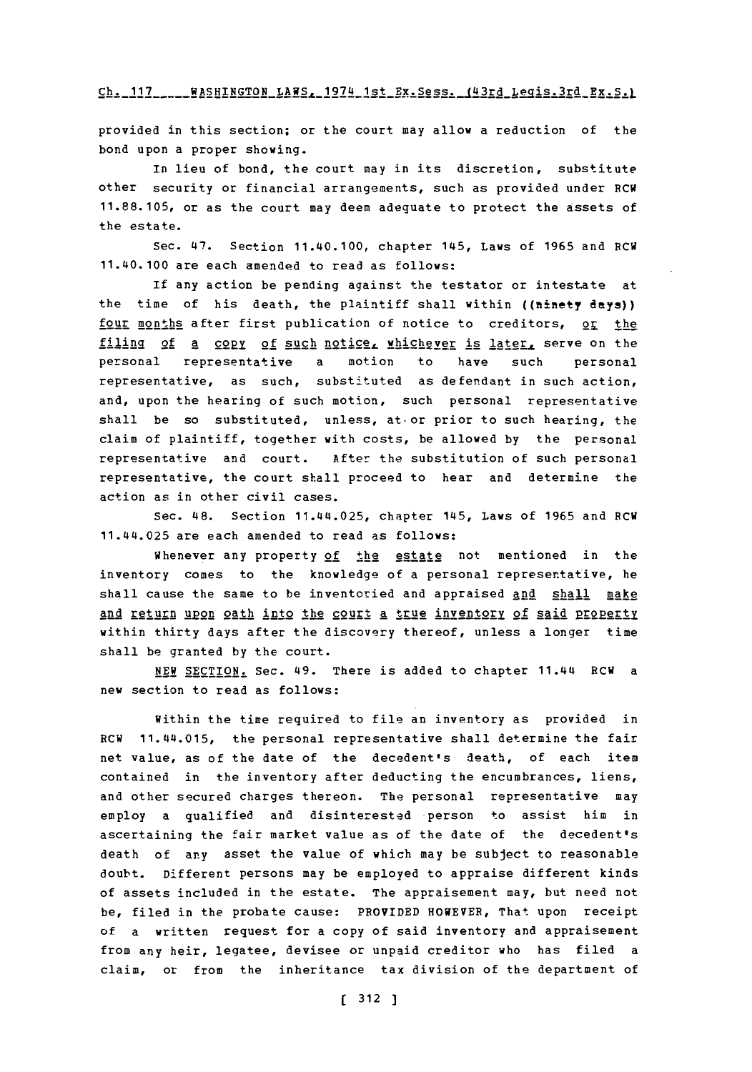### **Ch. 117** -WASHINGTON LAWSL 1974 1st Ex.Se 55. J4 3rd Leqis.3rd Ex.S.J

provided in this section; or the court may allow a reduction of the bond upon a proper showing.

In lieu of bond, the court may in its discretion, substitute other security or financial arrangements, such as provided under ECU 11.88.105, or as the court may deem adequate to protect the assets of the estate.

Sec. 47. Section 11.40.100, chapter 145, Laws of **1965** and RCU 11.40.100 are each amended to read as follows:

If any action be pending against the testator or intestate at the time of his death, the plaintiff shall within ((ninety days)) four months after first publication of notice to creditors, or the filing of a copy of such notice, whichever is later, serve on the personal representative a motion to have such personal representative, as such, substituted as defendant in such action, and, upon the hearing of such motion, such personal representative shall be so substituted, unless, at-or prior to such hearing, the claim of plaintiff, together with costs, be allowed **by** the personal representative and court. After the substitution of such personal representative, the court shall proceed to hear and determine the action as in other civil cases.

Sec. 48. Section 11.44.025, chapter 145, Laws of **1965** and ECU 11.44.025 are each amended to read as follows:

Whenever any property of the estate not mentioned in the inventory comes to the knowledge of a personal representative, he shall cause the same to be inventoried and appraised and shall make and return upon oath into the court a true inventory of said Property within thirty days after the discovery thereof, unless a longer time shall be granted **by** the court.

**NEW** SECTION. Sec. 49. There is added to chapter 11.44 RCW a new section to read as follows:

Within the time required to file an inventory as provided in RCW 11.44.015, the personal representative shall determine the fair net value, as of the date of the decedent's death, of each item contained in the inventory after deducting the encumbrances, liens, and other secured charges thereon. The personal representative may employ a qualified and disinterested person to assist him in ascertaining the fair market value as of the date of the decedent's death of any asset the value of which may be subject to reasonable doubt. Different persons may be employed to appraise different kinds of assets included in the estate. The appraisement may, but need not be, filed in the probate cause: PROVIDED HOWEVER, That upon receipt of a written request for a copy of said inventory and appraisement from any heir, legatee, devisee or unpaid creditor who has filed a claim, or from the inheritance tax division of the department of

**C 3 12 ]**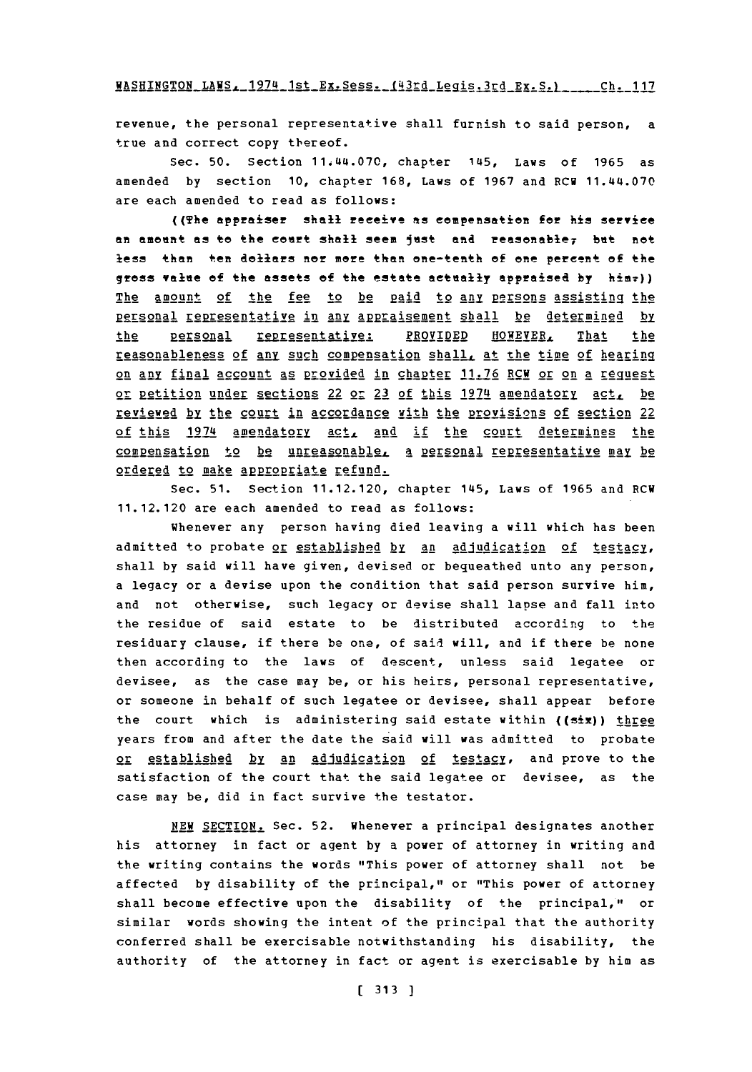revenue, the personal representative shall furnish to said person, a true and correct copy thereof.

Sec. **50.** Section 11.i44.070, chapter 145, Laws of **1965** as amended **by** section **10,** chapter **168,** Laws of **1967** and RCW 11.414.070 are each amended to read as follows:

((The appraiser shall receive as compensation for his service an amount as to the court shall seem just and reasonable, but not less than \*~en dollars ner more them one-tenth **of** one percent **of** the gress Yelae **of** the assets ef the estate actually appraised **by** himr)) The amount of the fee to be paid to any persons assisting the **persoal** representative in any appraisement shall be determined by the personal representative: PROVIDED HOWEVER, That the eaonableness of any such compensation shall, at the time of hearing on an.y final account **\_q** provided in chapter **11.76** RCW or on a regest or petition under sections 22 or **23** of this **1974 amendatory act, be** reviewed **by** the court in accordance with the provisions of section 22 of this 1974 amendatory act, and if the court determines the 22MPpenstion to be unreasona ble. **a** pe2rsona representative may **be** ordered to make appropriate refund.

Sec. **51.** Section 11.12.120, chapter 145, Laws of **1965** and RCW 11.12.120 are each amended to read as follows:

Whenever any person having died leaving a will which has been admitted to probate or established by an adjudication of testacy, shall **by** said will have given, devised or bequeathed unto any person, a legacy or a devise upon the condition that said person survive him, and not otherwise, such legacy or devise shall lapse and fall into the residue of said estate to be distributed according to the residuary clause, if there be one, of said will, and if there be none then according to the laws of descent, unless said legatee or devisee, as the case may be, or his heirs, personal representative, or someone in behalf of such legatee or devisee, shall appear before the court which is administering said estate within ((six)) three years from and after the date the said will was admitted to probate or established by an adjggication of testacy, and prove to the satisfaction of the court that the said legatee or devisee, as the case may be, did in fact survive the testator.

**NEW** SECTION. Sec. **52.** Whenever a principal designates another his attorney in fact or agent **by** a power of attorney in writing and the writing contains the words "This power of attorney shall not be affected **by** disability of the principal," or "This power of attorney shall become effective upon the disability of the principal," or similar words showing the intent of the principal that the authority conferred shall be exercisable notwithstanding his disability, the authority of the attorney in fact or agent is exercisable **by** him as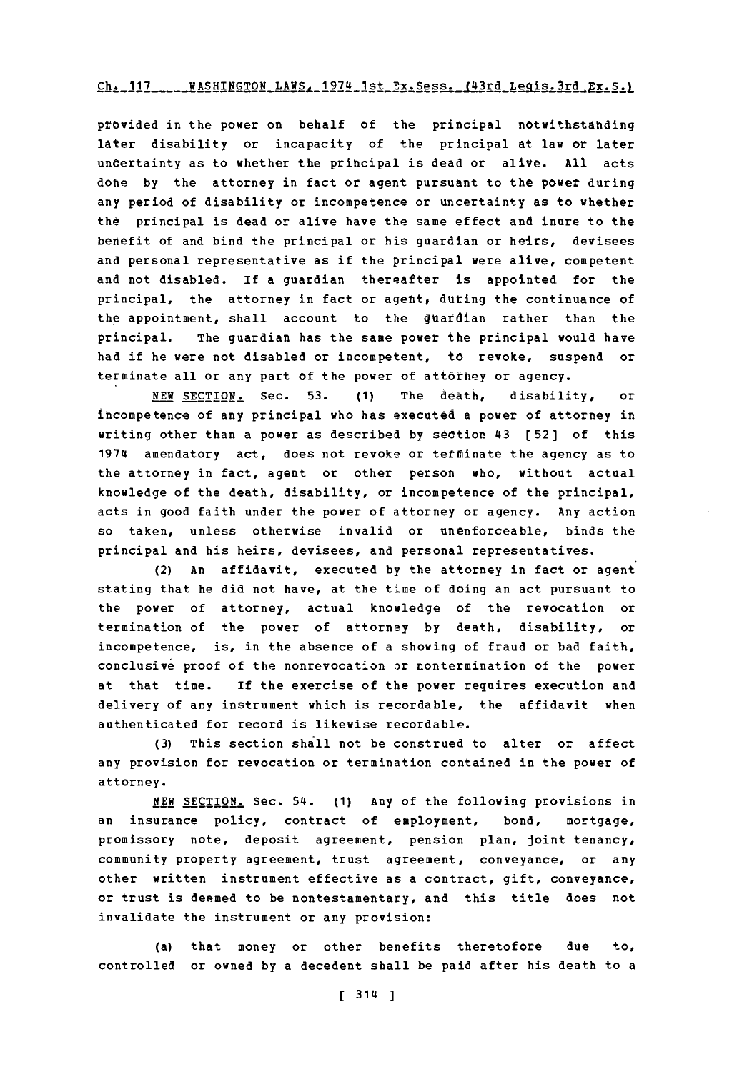### Ch<sub>4</sub> 117 WASHINGTON LAWS<sub>4</sub> 1974 1st Ex. Sess. (43rd Legis.3rd Ex. S.)

provided in the power on behalf of the principal notwithstanding later disability or incapacity of the principal at law or later unCertainty as to whether the principal is dead or alive. **All** acts done **by** the attorney in fact or agent pursuant to the power during any period of disability or incompetence or uncertainty as to whether the principal is dead or alive have *the* same effect and inure to the benefit of and bind the principal or his guardian or heirs, devisees and personal representative as if the principal were alive, competent and not disabled. If a guardian thereafter is appointed for the principal, the attorney in fact or agent, during the continuance of the appointment, shall account to the guardian rather than the principal. The guardian has the same power the principal would have had if he were not disabled or incompetent, to revoke, suspend or terminate all or any part of the power of attorney or agency.

**NEW** SECTIW Sec. **53. (1)** The death, disability, or incompetence of any principal who has executed a power of attorney in writing other than a power as described **by** seetion 43 **[52]** of this 1974 amendatory act, does not revoke or terminate the agency as to the attorney in fact, agent or other person who, without actual knowledge of the death, disability, or incompetence of the principal, acts in good faith under the power of attorney or agency. Any action so taken, unless otherwise invalid or unenforceable, binds the principal and his heirs, devisees, and personal representatives.

(2) An affidavit, executed **by** the attorney in fact or agent stating that he did not have, at the time of doing an act pursuant to the power of attorney, actual knowledge of the revocation or termination of the power of attorney **by** death, disability, or incompetence, is, in the absence of a showing of fraud or bad faith, conclusive proof of the nonrevocation or rontermination of the power at that time. If the exercise of the power requires execution and delivery of any instrument which is recordable, the affidavit when authenticated for record is likewise recordable.

**(3)** This section shall not be construed to alter or affect any provision for revocation or termination contained in the power of attorney.

**NEW SECTION.** Sec. 54. (1) Any of the following provisions in an insurance policy, contract of employment, bond, mortgage, promissory note, deposit agreement, pension plan, joint tenancy, community property agreement, trust agreement, conveyance, or any other written instrument effective as a contract, gift, conveyance, or trust is deemed to be nontestamentary, and this title does not invalidate the instrument or any provision:

(a) that money or other benefits theretofore due to, controlled or owned **by** a decedent shall be paid after his death to a